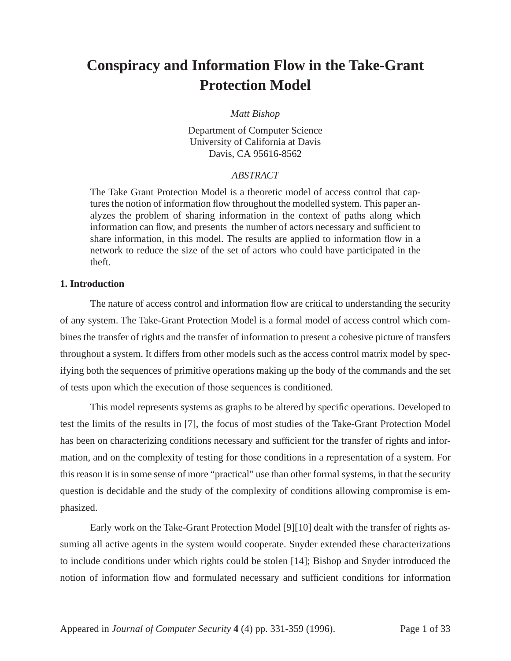# **Conspiracy and Information Flow in the Take-Grant Protection Model**

# *Matt Bishop*

Department of Computer Science University of California at Davis Davis, CA 95616-8562

#### *ABSTRACT*

The Take Grant Protection Model is a theoretic model of access control that captures the notion of information flow throughout the modelled system. This paper analyzes the problem of sharing information in the context of paths along which information can flow, and presents the number of actors necessary and sufficient to share information, in this model. The results are applied to information flow in a network to reduce the size of the set of actors who could have participated in the theft.

# **1. Introduction**

The nature of access control and information flow are critical to understanding the security of any system. The Take-Grant Protection Model is a formal model of access control which combines the transfer of rights and the transfer of information to present a cohesive picture of transfers throughout a system. It differs from other models such as the access control matrix model by specifying both the sequences of primitive operations making up the body of the commands and the set of tests upon which the execution of those sequences is conditioned.

This model represents systems as graphs to be altered by specific operations. Developed to test the limits of the results in [7], the focus of most studies of the Take-Grant Protection Model has been on characterizing conditions necessary and sufficient for the transfer of rights and information, and on the complexity of testing for those conditions in a representation of a system. For this reason it is in some sense of more "practical" use than other formal systems, in that the security question is decidable and the study of the complexity of conditions allowing compromise is emphasized.

Early work on the Take-Grant Protection Model [9][10] dealt with the transfer of rights assuming all active agents in the system would cooperate. Snyder extended these characterizations to include conditions under which rights could be stolen [14]; Bishop and Snyder introduced the notion of information flow and formulated necessary and sufficient conditions for information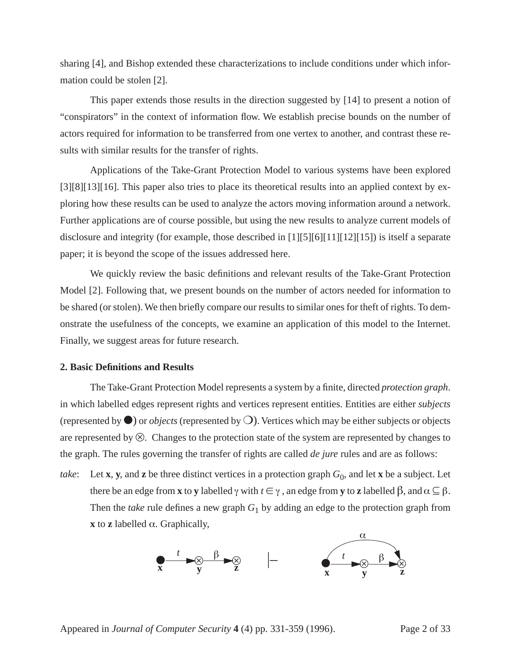sharing [4], and Bishop extended these characterizations to include conditions under which information could be stolen [2].

This paper extends those results in the direction suggested by [14] to present a notion of "conspirators" in the context of information flow. We establish precise bounds on the number of actors required for information to be transferred from one vertex to another, and contrast these results with similar results for the transfer of rights.

Applications of the Take-Grant Protection Model to various systems have been explored [3][8][13][16]. This paper also tries to place its theoretical results into an applied context by exploring how these results can be used to analyze the actors moving information around a network. Further applications are of course possible, but using the new results to analyze current models of disclosure and integrity (for example, those described in [1][5][6][11][12][15]) is itself a separate paper; it is beyond the scope of the issues addressed here.

We quickly review the basic definitions and relevant results of the Take-Grant Protection Model [2]. Following that, we present bounds on the number of actors needed for information to be shared (or stolen). We then briefly compare our results to similar ones for theft of rights. To demonstrate the usefulness of the concepts, we examine an application of this model to the Internet. Finally, we suggest areas for future research.

#### **2. Basic Definitions and Results**

The Take-Grant Protection Model represents a system by a finite, directed *protection graph*. in which labelled edges represent rights and vertices represent entities. Entities are either *subjects* (represented by  $\bullet$ ) or *objects* (represented by  $\circ$ ). Vertices which may be either subjects or objects are represented by ⊗. Changes to the protection state of the system are represented by changes to the graph. The rules governing the transfer of rights are called *de jure* rules and are as follows:

*take*: Let **x**, **y**, and **z** be three distinct vertices in a protection graph  $G_0$ , and let **x** be a subject. Let there be an edge from **x** to **y** labelled  $\gamma$  with  $t \in \gamma$  , an edge from **y** to **z** labelled  $\beta$ , and  $\alpha \subseteq \beta$ . Then the *take* rule defines a new graph  $G_1$  by adding an edge to the protection graph from **x** to **z** labelled α. Graphically,

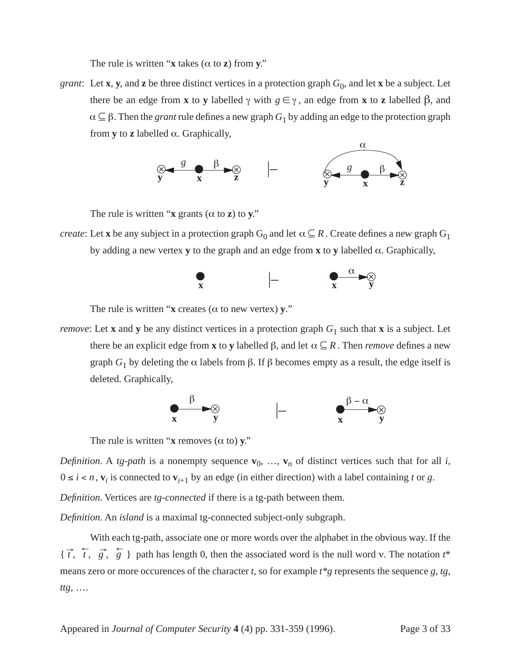The rule is written "**x** takes  $(\alpha \text{ to } z)$  from **y**."

*grant*: Let **x**, **y**, and **z** be three distinct vertices in a protection graph  $G_0$ , and let **x** be a subject. Let there be an edge from **x** to **y** labelled  $\gamma$  with  $g \in \gamma$ , an edge from **x** to **z** labelled  $\beta$ , and  $\alpha \subseteq \beta$ . Then the *grant* rule defines a new graph  $G_1$  by adding an edge to the protection graph from **y** to **z** labelled α. Graphically,



The rule is written "**x** grants ( $\alpha$  to **z**) to **y**."

*create*: Let **x** be any subject in a protection graph G<sub>0</sub> and let  $\alpha \subseteq R$ . Create defines a new graph G<sub>1</sub> by adding a new vertex **y** to the graph and an edge from **x** to **y** labelled α. Graphically,



The rule is written "**x** creates ( $\alpha$  to new vertex) **y**."

*remove*: Let **x** and **y** be any distinct vertices in a protection graph  $G_1$  such that **x** is a subject. Let there be an explicit edge from **x** to **y** labelled  $\beta$ , and let  $\alpha \subseteq R$ . Then *remove* defines a new graph  $G_1$  by deleting the  $\alpha$  labels from  $\beta$ . If  $\beta$  becomes empty as a result, the edge itself is deleted. Graphically,



The rule is written "**x** removes  $(\alpha \text{ to}) \text{ y}$ ."

*Definition.* A *tg-path* is a nonempty sequence  $\mathbf{v}_0$ , …,  $\mathbf{v}_n$  of distinct vertices such that for all *i*,  $0 \le i \le n$ ,  $\mathbf{v}_i$  is connected to  $\mathbf{v}_{i+1}$  by an edge (in either direction) with a label containing *t* or *g*.

*Definition.* Vertices are *tg-connected* if there is a tg-path between them.

*Definition.* An *island* is a maximal tg-connected subject-only subgraph.

With each tg-path, associate one or more words over the alphabet in the obvious way. If the  $\{\vec{r}, \vec{r}, \vec{g}, \vec{g}\}$  path has length 0, then the associated word is the null word v. The notation  $t^*$ means zero or more occurences of the character *t*, so for example *t\*g* represents the sequence *g*, *tg*, *ttg*, ….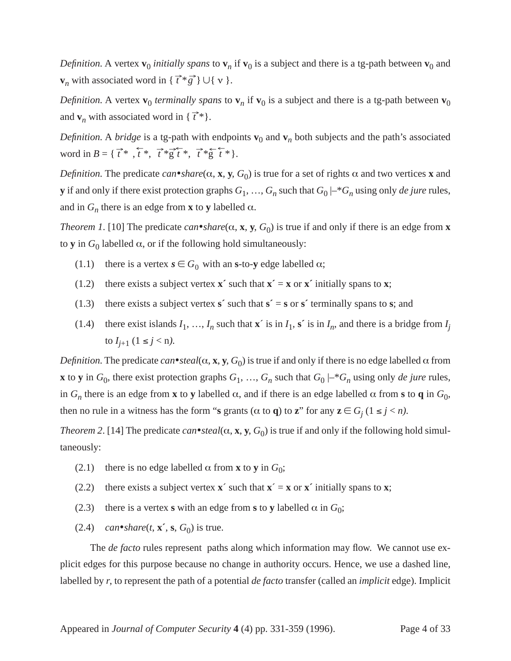*Definition.* A vertex  $\mathbf{v}_0$  *initially spans* to  $\mathbf{v}_n$  if  $\mathbf{v}_0$  is a subject and there is a tg-path between  $\mathbf{v}_0$  and **v**<sub>*n*</sub> with associated word in {  $\vec{t}^* \vec{g}$ } ∪{ v }.

*Definition.* A vertex  $\mathbf{v}_0$  *terminally spans* to  $\mathbf{v}_n$  if  $\mathbf{v}_0$  is a subject and there is a tg-path between  $\mathbf{v}_0$ and **v**<sub>*n*</sub> with associated word in { $\vec{\tau}^*$ }.

*Definition.* A *bridge* is a tg-path with endpoints  $\mathbf{v}_0$  and  $\mathbf{v}_n$  both subjects and the path's associated word in  $B = \{ \vec{t}^*, \vec{t}^*, \vec{t}^* \vec{g}^* \vec{t}^*, \vec{t}^* \vec{g} \vec{t}^* \}.$ 

*Definition.* The predicate *can*•*share*(α, **x**, **y**,  $G_0$ ) is true for a set of rights α and two vertices **x** and **y** if and only if there exist protection graphs  $G_1, ..., G_n$  such that  $G_0 \rvert^{-*} G_n$  using only *de jure* rules, and in  $G_n$  there is an edge from **x** to **y** labelled  $\alpha$ .

*Theorem 1*. [10] The predicate  $can \cdot share(\alpha, x, y, G_0)$  is true if and only if there is an edge from **x** to **y** in  $G_0$  labelled  $\alpha$ , or if the following hold simultaneously:

- (1.1) there is a vertex  $s \in G_0$  with an **s**-to-**y** edge labelled  $\alpha$ ;
- (1.2) there exists a subject vertex  $\mathbf{x}'$  such that  $\mathbf{x}' = \mathbf{x}$  or  $\mathbf{x}'$  initially spans to  $\mathbf{x}$ ;
- (1.3) there exists a subject vertex  $\mathbf{s}'$  such that  $\mathbf{s}' = \mathbf{s}$  or  $\mathbf{s}'$  terminally spans to  $\mathbf{s}$ ; and
- (1.4) there exist islands  $I_1, ..., I_n$  such that **x**<sup> $\cdot$ </sup> is in  $I_1$ , **s**<sup> $\cdot$ </sup> is in  $I_n$ , and there is a bridge from  $I_j$ to  $I_{i+1}$   $(1 \le j \le n)$ .

*Definition.* The predicate  $can \cdot$ *steal*( $\alpha$ , **x**, **y**,  $G_0$ ) is true if and only if there is no edge labelled  $\alpha$  from **x** to **y** in  $G_0$ , there exist protection graphs  $G_1$ , ...,  $G_n$  such that  $G_0 \mid -{}^*G_n$  using only *de jure* rules, in  $G_n$  there is an edge from **x** to **y** labelled  $\alpha$ , and if there is an edge labelled  $\alpha$  from **s** to **q** in  $G_0$ , then no rule in a witness has the form "**s** grants ( $\alpha$  to **q**) to **z**" for any  $z \in G_j$  ( $1 \le j \le n$ ).

*Theorem 2.* [14] The predicate  $can \cdot \text{steal}(\alpha, \mathbf{x}, \mathbf{y}, G_0)$  is true if and only if the following hold simultaneously:

- (2.1) there is no edge labelled  $\alpha$  from **x** to **y** in  $G_0$ ;
- (2.2) there exists a subject vertex  $\mathbf{x}'$  such that  $\mathbf{x}' = \mathbf{x}$  or  $\mathbf{x}'$  initially spans to  $\mathbf{x}$ ;
- (2.3) there is a vertex **s** with an edge from **s** to **y** labelled  $\alpha$  in  $G_0$ ;
- (2.4) *can•share*( $t$ ,  $\mathbf{x}'$ ,  $\mathbf{s}$ ,  $G_0$ ) is true.

The *de facto* rules represent paths along which information may flow. We cannot use explicit edges for this purpose because no change in authority occurs. Hence, we use a dashed line, labelled by *r*, to represent the path of a potential *de facto* transfer (called an *implicit* edge). Implicit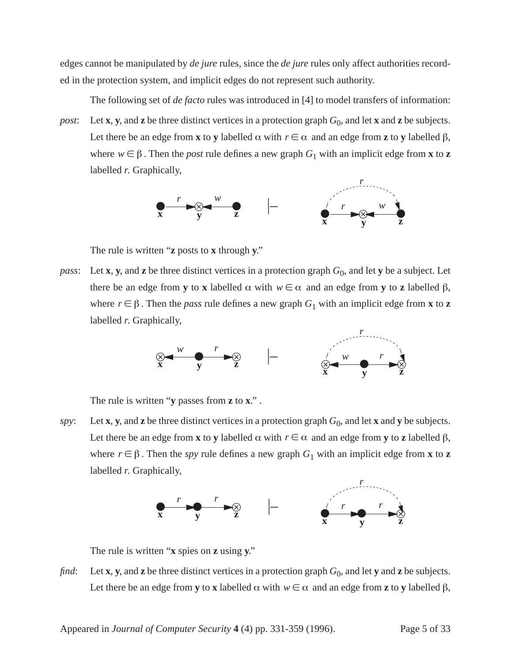edges cannot be manipulated by *de jure* rules, since the *de jure* rules only affect authorities recorded in the protection system, and implicit edges do not represent such authority.

The following set of *de facto* rules was introduced in [4] to model transfers of information:

*post*: Let **x**, **y**, and **z** be three distinct vertices in a protection graph  $G_0$ , and let **x** and **z** be subjects. Let there be an edge from **x** to **y** labelled  $\alpha$  with  $r \in \alpha$  and an edge from **z** to **y** labelled  $\beta$ , where  $w \in \beta$ . Then the *post* rule defines a new graph  $G_1$  with an implicit edge from **x** to **z** labelled *r*. Graphically,



The rule is written "**z** posts to **x** through **y**."

*pass*: Let **x**, **y**, and **z** be three distinct vertices in a protection graph  $G_0$ , and let **y** be a subject. Let there be an edge from **y** to **x** labelled  $\alpha$  with  $w \in \alpha$  and an edge from **y** to **z** labelled  $\beta$ , where  $r \in \beta$ . Then the *pass* rule defines a new graph  $G_1$  with an implicit edge from **x** to **z** labelled *r*. Graphically,



The rule is written "**y** passes from **z** to **x**." .

*spy*: Let **x**, **y**, and **z** be three distinct vertices in a protection graph  $G_0$ , and let **x** and **y** be subjects. Let there be an edge from **x** to **y** labelled  $\alpha$  with  $r \in \alpha$  and an edge from **y** to **z** labelled  $\beta$ , where  $r \in \beta$ . Then the *spy* rule defines a new graph  $G_1$  with an implicit edge from **x** to **z** labelled *r*. Graphically,



The rule is written "**x** spies on **z** using **y**."

*find*: Let **x**, **y**, and **z** be three distinct vertices in a protection graph  $G_0$ , and let **y** and **z** be subjects. Let there be an edge from **y** to **x** labelled  $\alpha$  with  $w \in \alpha$  and an edge from **z** to **y** labelled  $\beta$ ,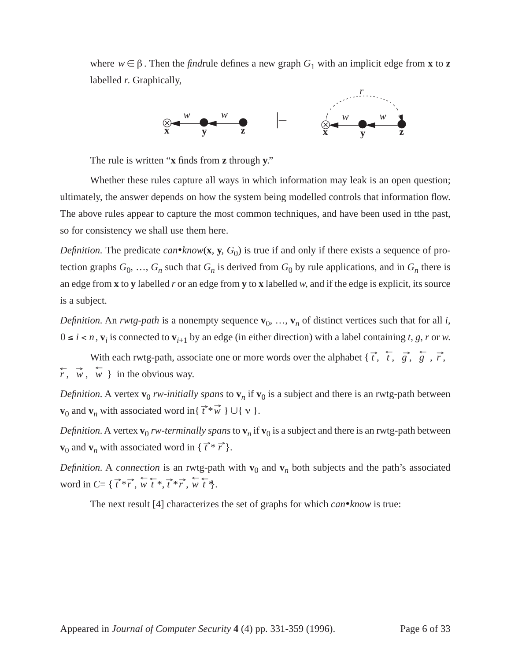where  $w \in \beta$ . Then the *find*rule defines a new graph  $G_1$  with an implicit edge from **x** to **z** labelled *r*. Graphically,



The rule is written "**x** finds from **z** through **y**."

Whether these rules capture all ways in which information may leak is an open question; ultimately, the answer depends on how the system being modelled controls that information flow. The above rules appear to capture the most common techniques, and have been used in tthe past, so for consistency we shall use them here.

*Definition.* The predicate  $can \cdot \textit{know}(x, y, G_0)$  is true if and only if there exists a sequence of protection graphs  $G_0$ , ...,  $G_n$  such that  $G_n$  is derived from  $G_0$  by rule applications, and in  $G_n$  there is an edge from **x** to **y** labelled *r* or an edge from **y** to **x** labelled *w*, and if the edge is explicit, its source is a subject.

*Definition.* An *rwtg-path* is a nonempty sequence  $\mathbf{v}_0$ , …,  $\mathbf{v}_n$  of distinct vertices such that for all *i*,  $0 \le i \le n$ ,  $\mathbf{v}_i$  is connected to  $\mathbf{v}_{i+1}$  by an edge (in either direction) with a label containing *t*, *g*, *r* or *w*.

With each rwtg-path, associate one or more words over the alphabet  $\{\vec{r}, \vec{t}, \vec{g}, \vec{g}, \vec{r}\}$  $\overleftarrow{r}$ ,  $\overrightarrow{w}$ ,  $\overleftarrow{w}$ } in the obvious way.

*Definition.* A vertex  $\mathbf{v}_0$  *rw-initially spans* to  $\mathbf{v}_n$  if  $\mathbf{v}_0$  is a subject and there is an rwtg-path between **v**<sub>0</sub> and **v**<sub>*n*</sub> with associated word in{  $\vec{t}^* \vec{w}$  } ∪{ **v** }.

*Definition.* A vertex  $\mathbf{v}_0$  *rw-terminally spans* to  $\mathbf{v}_n$  if  $\mathbf{v}_0$  is a subject and there is an rwtg-path between **v**<sub>0</sub> and **v**<sub>*n*</sub> with associated word in {  $\vec{t}^*$   $\vec{r}$ }.

*Definition.* A *connection* is an rwtg-path with  $\mathbf{v}_0$  and  $\mathbf{v}_n$  both subjects and the path's associated word in  $C = \{ \overrightarrow{t}^* \overrightarrow{r}, \overrightarrow{w} \overrightarrow{t}^* \overrightarrow{r}, \overrightarrow{r}^* \overrightarrow{r}, \overrightarrow{w} \overrightarrow{t}^* \}$ .

The next result [4] characterizes the set of graphs for which *can*•*know* is true: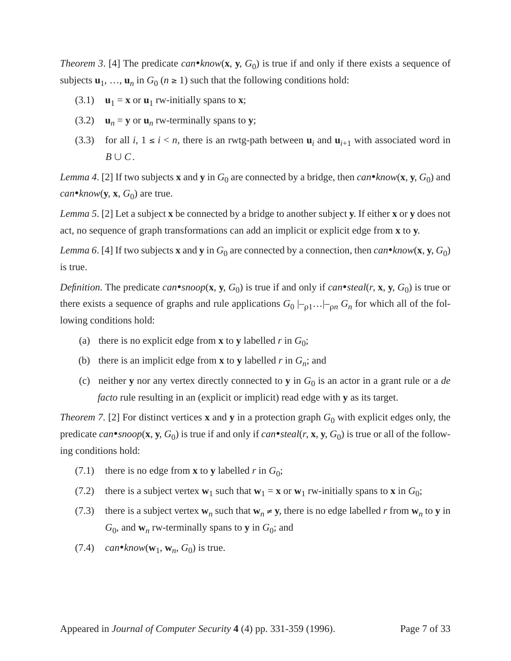*Theorem 3.* [4] The predicate  $can \cdot \text{know}(\mathbf{x}, \mathbf{y}, G_0)$  is true if and only if there exists a sequence of subjects  $\mathbf{u}_1, \ldots, \mathbf{u}_n$  in  $G_0$  ( $n \ge 1$ ) such that the following conditions hold:

- (3.1)  $\mathbf{u}_1 = \mathbf{x}$  or  $\mathbf{u}_1$  rw-initially spans to **x**;
- (3.2)  $\mathbf{u}_n = \mathbf{y}$  or  $\mathbf{u}_n$  rw-terminally spans to **y**;
- (3.3) for all *i*,  $1 \le i \le n$ , there is an rwtg-path between  $\mathbf{u}_i$  and  $\mathbf{u}_{i+1}$  with associated word in  $B \cup C$ .

*Lemma 4*. [2] If two subjects **x** and **y** in  $G_0$  are connected by a bridge, then  $can \cdot \textit{know}(\mathbf{x}, \mathbf{y}, G_0)$  and *can*•*know*( $\mathbf{y}, \mathbf{x}, G_0$ ) are true.

*Lemma 5*. [2] Let a subject **x** be connected by a bridge to another subject **y**. If either **x** or **y** does not act, no sequence of graph transformations can add an implicit or explicit edge from **x** to **y**.

*Lemma 6*. [4] If two subjects **x** and **y** in  $G_0$  are connected by a connection, then  $can \cdot \textit{know}(\mathbf{x}, \mathbf{y}, G_0)$ is true.

*Definition.* The predicate *can*•*snoop*( $\bf{x}$ ,  $\bf{y}$ ,  $G_0$ ) is true if and only if *can*•*steal*( $r$ ,  $\bf{x}$ ,  $\bf{y}$ ,  $G_0$ ) is true or there exists a sequence of graphs and rule applications  $G_0 \mid_{p_1} \ldots \mid_{p_n} G_n$  for which all of the following conditions hold:

- (a) there is no explicit edge from **x** to **y** labelled *r* in  $G_0$ ;
- (b) there is an implicit edge from **x** to **y** labelled *r* in  $G_n$ ; and
- (c) neither **y** nor any vertex directly connected to **y** in  $G_0$  is an actor in a grant rule or a *de facto* rule resulting in an (explicit or implicit) read edge with **y** as its target.

*Theorem 7.* [2] For distinct vertices **x** and **y** in a protection graph  $G_0$  with explicit edges only, the predicate  $can \cdot \text{snoop}(\mathbf{x}, \mathbf{y}, G_0)$  is true if and only if  $can \cdot \text{stead}(r, \mathbf{x}, \mathbf{y}, G_0)$  is true or all of the following conditions hold:

- (7.1) there is no edge from **x** to **y** labelled *r* in  $G_0$ ;
- (7.2) there is a subject vertex  $w_1$  such that  $w_1 = x$  or  $w_1$  rw-initially spans to  $x$  in  $G_0$ ;
- (7.3) there is a subject vertex  $w_n$  such that  $w_n \neq y$ , there is no edge labelled *r* from  $w_n$  to y in  $G_0$ , and  $w_n$  rw-terminally spans to **y** in  $G_0$ ; and
- (7.4) *can•know*( $\mathbf{w}_1$ ,  $\mathbf{w}_n$ ,  $G_0$ ) is true.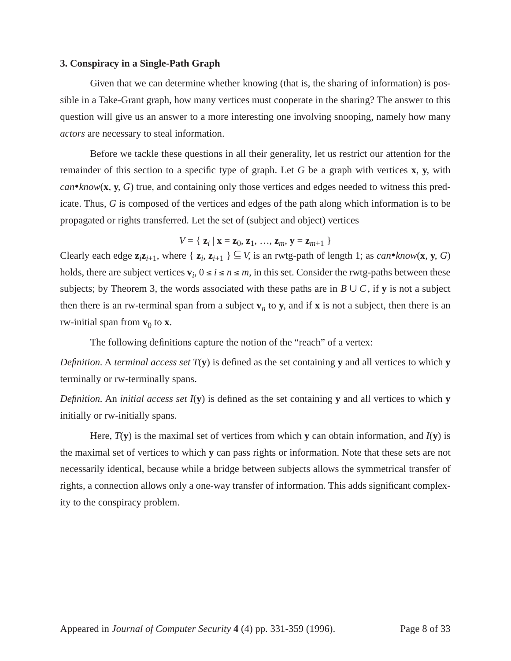#### **3. Conspiracy in a Single-Path Graph**

Given that we can determine whether knowing (that is, the sharing of information) is possible in a Take-Grant graph, how many vertices must cooperate in the sharing? The answer to this question will give us an answer to a more interesting one involving snooping, namely how many *actors* are necessary to steal information.

Before we tackle these questions in all their generality, let us restrict our attention for the remainder of this section to a specific type of graph. Let *G* be a graph with vertices **x**, **y**, with *can*•*know*(**x**, **y**, *G*) true, and containing only those vertices and edges needed to witness this predicate. Thus, *G* is composed of the vertices and edges of the path along which information is to be propagated or rights transferred. Let the set of (subject and object) vertices

$$
V = \{ z_i | x = z_0, z_1, ..., z_m, y = z_{m+1} \}
$$

Clearly each edge  $\mathbf{z}_i \mathbf{z}_{i+1}$ , where  $\{ \mathbf{z}_i, \mathbf{z}_{i+1} \} \subseteq V$ , is an rwtg-path of length 1; as  $can \cdot \text{know}(\mathbf{x}, \mathbf{y}, G)$ holds, there are subject vertices  $\mathbf{v}_i$ ,  $0 \le i \le n \le m$ , in this set. Consider the rwtg-paths between these subjects; by Theorem 3, the words associated with these paths are in  $B \cup C$ , if **y** is not a subject then there is an rw-terminal span from a subject  $v_n$  to y, and if x is not a subject, then there is an rw-initial span from  $v_0$  to **x**.

The following definitions capture the notion of the "reach" of a vertex:

*Definition.* A *terminal access set*  $T(y)$  is defined as the set containing **y** and all vertices to which **y** terminally or rw-terminally spans.

*Definition.* An *initial access set I*(**y**) is defined as the set containing **y** and all vertices to which **y** initially or rw-initially spans.

Here,  $T(y)$  is the maximal set of vertices from which **y** can obtain information, and  $I(y)$  is the maximal set of vertices to which **y** can pass rights or information. Note that these sets are not necessarily identical, because while a bridge between subjects allows the symmetrical transfer of rights, a connection allows only a one-way transfer of information. This adds significant complexity to the conspiracy problem.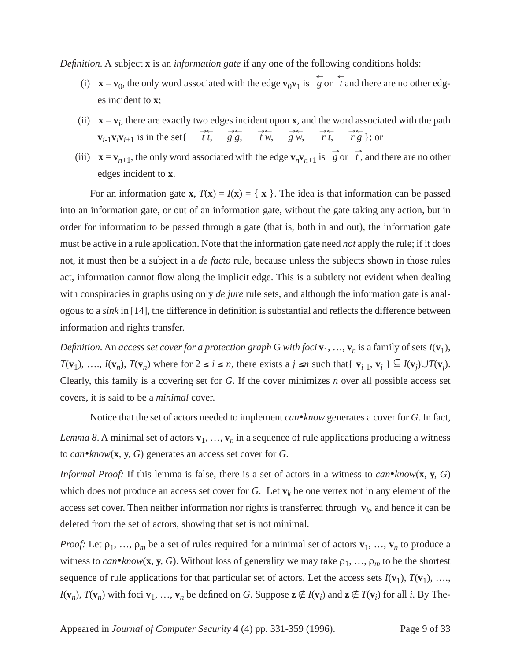*Definition.* A subject **x** is an *information gate* if any one of the following conditions holds:

- (i)  $\mathbf{x} = \mathbf{v}_0$ , the only word associated with the edge  $\mathbf{v}_0 \mathbf{v}_1$  is  $\overleftarrow{g}$  or  $\overleftarrow{t}$  and there are no other edges incident to **x**;
- (ii)  $\mathbf{x} = \mathbf{v}_i$ , there are exactly two edges incident upon **x**, and the word associated with the path  $\mathbf{v}_{i-1}\mathbf{v}_i\mathbf{v}_{i+1}$  is in the set{  $\overrightarrow{t}$ ,  $\overrightarrow{g}$ ,  $\overrightarrow{g}$ ,  $\overrightarrow{t}$  w,  $\overrightarrow{g}$  w,  $\overrightarrow{r}$ ,  $\overrightarrow{r}$   $\overrightarrow{g}$  }; or
- (iii)  $\mathbf{x} = \mathbf{v}_{n+1}$ , the only word associated with the edge  $\mathbf{v}_n \mathbf{v}_{n+1}$  is  $\overrightarrow{g}$  or  $\overrightarrow{t}$ , and there are no other edges incident to **x**.

For an information gate **x**,  $T(x) = I(x) = \{x\}$ . The idea is that information can be passed into an information gate, or out of an information gate, without the gate taking any action, but in order for information to be passed through a gate (that is, both in and out), the information gate must be active in a rule application. Note that the information gate need *not* apply the rule; if it does not, it must then be a subject in a *de facto* rule, because unless the subjects shown in those rules act, information cannot flow along the implicit edge. This is a subtlety not evident when dealing with conspiracies in graphs using only *de jure* rule sets, and although the information gate is analogous to a *sink* in [14], the difference in definition is substantial and reflects the difference between information and rights transfer.

*Definition.* An *access set cover for a protection graph* G *with foci*  $\mathbf{v}_1, \ldots, \mathbf{v}_n$  is a family of sets  $I(\mathbf{v}_1)$ ,  $T(\mathbf{v}_1), \ldots, I(\mathbf{v}_n), T(\mathbf{v}_n)$  where for  $2 \le i \le n$ , there exists  $a_j \le n$  such that  $\{\mathbf{v}_{i-1}, \mathbf{v}_i\} \subseteq I(\mathbf{v}_j) \cup T(\mathbf{v}_j)$ . Clearly, this family is a covering set for *G*. If the cover minimizes *n* over all possible access set covers, it is said to be a *minimal* cover.

Notice that the set of actors needed to implement *can*•*know* generates a cover for *G*. In fact, *Lemma 8.* A minimal set of actors  $\mathbf{v}_1, \ldots, \mathbf{v}_n$  in a sequence of rule applications producing a witness to *can*•*know*(**x**, **y**, *G*) generates an access set cover for *G*.

*Informal Proof:* If this lemma is false, there is a set of actors in a witness to *can*•*know*(**x**, **y**, *G*) which does not produce an access set cover for  $G$ . Let  $\mathbf{v}_k$  be one vertex not in any element of the access set cover. Then neither information nor rights is transferred through  $\mathbf{v}_k$ , and hence it can be deleted from the set of actors, showing that set is not minimal.

*Proof:* Let  $\rho_1$ , …,  $\rho_m$  be a set of rules required for a minimal set of actors  $\mathbf{v}_1$ , …,  $\mathbf{v}_n$  to produce a witness to *can*•*know*(**x**, **y**, *G*). Without loss of generality we may take  $\rho_1$ , …,  $\rho_m$  to be the shortest sequence of rule applications for that particular set of actors. Let the access sets  $I(\mathbf{v}_1), T(\mathbf{v}_1), \ldots,$  $I(\mathbf{v}_n)$ ,  $T(\mathbf{v}_n)$  with foci  $\mathbf{v}_1, \ldots, \mathbf{v}_n$  be defined on G. Suppose  $\mathbf{z} \notin I(\mathbf{v}_i)$  and  $\mathbf{z} \notin T(\mathbf{v}_i)$  for all *i*. By The-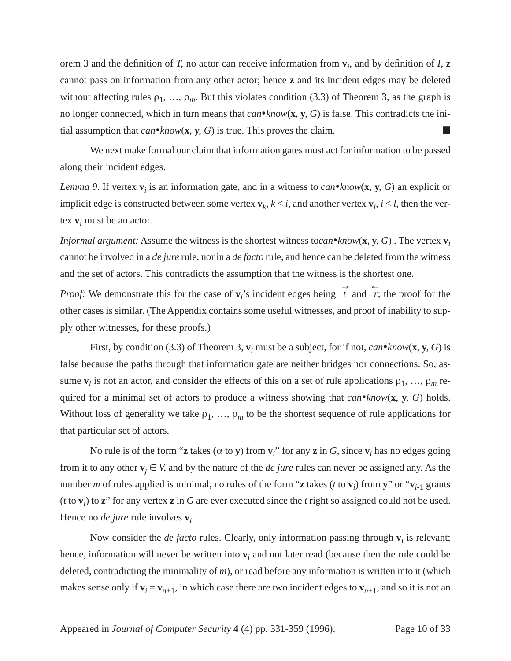orem 3 and the definition of *T*, no actor can receive information from **v***<sup>i</sup>* , and by definition of *I*, **z** cannot pass on information from any other actor; hence **z** and its incident edges may be deleted without affecting rules  $\rho_1, \ldots, \rho_m$ . But this violates condition (3.3) of Theorem 3, as the graph is no longer connected, which in turn means that *can*•*know*(**x**, **y**, *G*) is false. This contradicts the initial assumption that  $can \cdot \text{know}(\mathbf{x}, \mathbf{y}, G)$  is true. This proves the claim.

We next make formal our claim that information gates must act for information to be passed along their incident edges.

*Lemma 9*. If vertex  $\mathbf{v}_i$  is an information gate, and in a witness to  $can \cdot \text{k}now(\mathbf{x}, \mathbf{y}, G)$  an explicit or implicit edge is constructed between some vertex  $\mathbf{v}_k$ ,  $k < i$ , and another vertex  $\mathbf{v}_l$ ,  $i < l$ , then the vertex  $\mathbf{v}_i$  must be an actor.

*Informal argument:* Assume the witness is the shortest witness to*can*•*know*(**x**, **y**, *G*) . The vertex **v***<sup>i</sup>* cannot be involved in a *de jure* rule, nor in a *de facto* rule, and hence can be deleted from the witness and the set of actors. This contradicts the assumption that the witness is the shortest one.

*Proof:* We demonstrate this for the case of  $\mathbf{v}_i$ 's incident edges being  $\overrightarrow{t}$  and  $\overleftarrow{r}$ ; the proof for the other cases is similar. (The Appendix contains some useful witnesses, and proof of inability to supply other witnesses, for these proofs.)

First, by condition (3.3) of Theorem 3,  $\mathbf{v}_i$  must be a subject, for if not,  $can \cdot know(\mathbf{x}, \mathbf{y}, G)$  is false because the paths through that information gate are neither bridges nor connections. So, assume  $\mathbf{v}_i$  is not an actor, and consider the effects of this on a set of rule applications  $\rho_1, \ldots, \rho_m$  required for a minimal set of actors to produce a witness showing that *can*•*know*(**x**, **y**, *G*) holds. Without loss of generality we take  $\rho_1, \ldots, \rho_m$  to be the shortest sequence of rule applications for that particular set of actors.

No rule is of the form "**z** takes ( $\alpha$  to **y**) from  $\mathbf{v}$ <sup>"</sup> for any **z** in *G*, since  $\mathbf{v}$ <sub>i</sub> has no edges going from it to any other  $\mathbf{v}_i \in V$ , and by the nature of the *de jure* rules can never be assigned any. As the number *m* of rules applied is minimal, no rules of the form "**z** takes (*t* to **v***<sup>i</sup>* ) from **y**" or "**v***i*-1 grants (*t* to **v***<sup>i</sup>* ) to **z**" for any vertex **z** in *G* are ever executed since the *t* right so assigned could not be used. Hence no *de jure* rule involves **v***<sup>i</sup>* .

Now consider the *de facto* rules. Clearly, only information passing through  $v_i$  is relevant; hence, information will never be written into  $v_i$  and not later read (because then the rule could be deleted, contradicting the minimality of *m*), or read before any information is written into it (which makes sense only if  $\mathbf{v}_i = \mathbf{v}_{n+1}$ , in which case there are two incident edges to  $\mathbf{v}_{n+1}$ , and so it is not an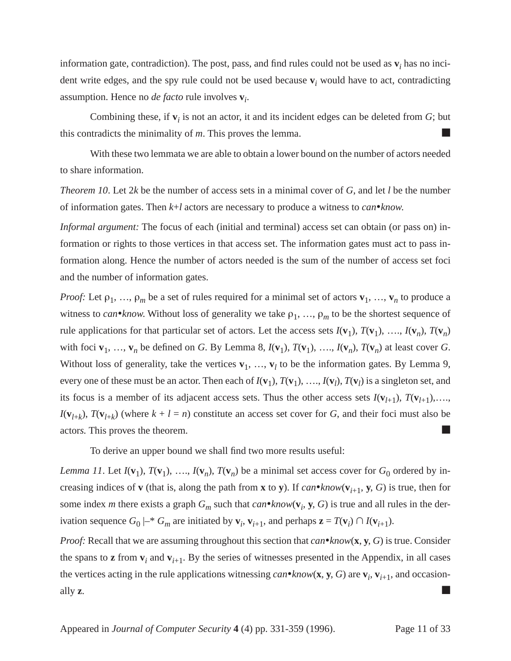information gate, contradiction). The post, pass, and find rules could not be used as  $\mathbf{v}_i$  has no incident write edges, and the spy rule could not be used because  $v_i$  would have to act, contradicting assumption. Hence no *de facto* rule involves **v***<sup>i</sup>* .

Combining these, if  $\mathbf{v}_i$  is not an actor, it and its incident edges can be deleted from  $G$ ; but this contradicts the minimality of  $m$ . This proves the lemma.

With these two lemmata we are able to obtain a lower bound on the number of actors needed to share information.

*Theorem 10*. Let 2*k* be the number of access sets in a minimal cover of *G*, and let *l* be the number of information gates. Then *k*+*l* actors are necessary to produce a witness to *can*•*know*.

*Informal argument:* The focus of each (initial and terminal) access set can obtain (or pass on) information or rights to those vertices in that access set. The information gates must act to pass information along. Hence the number of actors needed is the sum of the number of access set foci and the number of information gates.

*Proof:* Let  $\rho_1$ , …,  $\rho_m$  be a set of rules required for a minimal set of actors  $\mathbf{v}_1$ , …,  $\mathbf{v}_n$  to produce a witness to *can*•*know*. Without loss of generality we take  $\rho_1, \ldots, \rho_m$  to be the shortest sequence of rule applications for that particular set of actors. Let the access sets  $I(\mathbf{v}_1), T(\mathbf{v}_1), \ldots, I(\mathbf{v}_n), T(\mathbf{v}_n)$ with foci  $\mathbf{v}_1, \ldots, \mathbf{v}_n$  be defined on *G*. By Lemma 8,  $I(\mathbf{v}_1), T(\mathbf{v}_1), \ldots, I(\mathbf{v}_n), T(\mathbf{v}_n)$  at least cover *G*. Without loss of generality, take the vertices  $\mathbf{v}_1, \ldots, \mathbf{v}_l$  to be the information gates. By Lemma 9, every one of these must be an actor. Then each of  $I(\mathbf{v}_1)$ ,  $T(\mathbf{v}_1)$ , ...,  $I(\mathbf{v}_l)$ ,  $T(\mathbf{v}_l)$  is a singleton set, and its focus is a member of its adjacent access sets. Thus the other access sets  $I(\mathbf{v}_{l+1}), T(\mathbf{v}_{l+1}), \ldots$ *I*( $\mathbf{v}_{l+k}$ ),  $T(\mathbf{v}_{l+k})$  (where  $k + l = n$ ) constitute an access set cover for *G*, and their foci must also be actors. This proves the theorem.  $\blacksquare$ 

To derive an upper bound we shall find two more results useful:

*Lemma 11*. Let  $I(\mathbf{v}_1)$ ,  $T(\mathbf{v}_1)$ , ...,  $I(\mathbf{v}_n)$ ,  $T(\mathbf{v}_n)$  be a minimal set access cover for  $G_0$  ordered by increasing indices of **v** (that is, along the path from **x** to **y**). If  $can \cdot \text{k}now(\mathbf{v}_{i+1}, \mathbf{y}, G)$  is true, then for some index *m* there exists a graph  $G_m$  such that  $can \cdot know(v_i, y, G)$  is true and all rules in the derivation sequence  $G_0 \models^* G_m$  are initiated by  $\mathbf{v}_i$ ,  $\mathbf{v}_{i+1}$ , and perhaps  $\mathbf{z} = T(\mathbf{v}_i) \cap I(\mathbf{v}_{i+1})$ .

*Proof:* Recall that we are assuming throughout this section that *can*•*know*(**x**, **y**, *G*) is true. Consider the spans to **z** from  $\mathbf{v}_i$  and  $\mathbf{v}_{i+1}$ . By the series of witnesses presented in the Appendix, in all cases the vertices acting in the rule applications witnessing  $can \cdot \text{k}now(\mathbf{x}, \mathbf{y}, G)$  are  $\mathbf{v}_i$ ,  $\mathbf{v}_{i+1}$ , and occasionally  $z$ .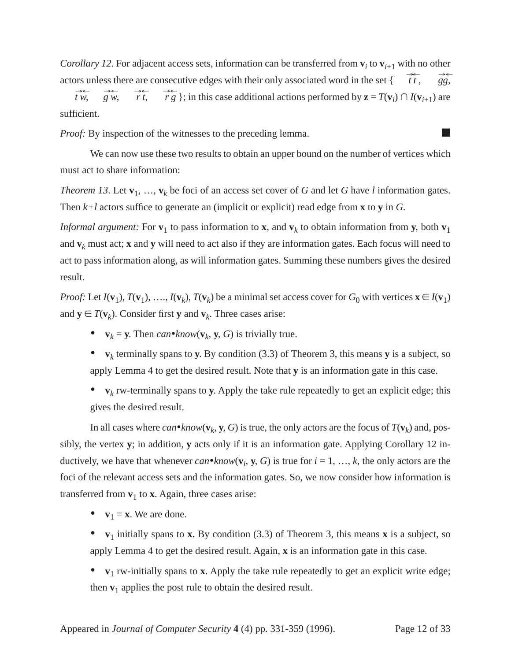*Corollary 12.* For adjacent access sets, information can be transferred from  $\mathbf{v}_i$  to  $\mathbf{v}_{i+1}$  with no other actors unless there are consecutive edges with their only associated word in the set  $\{\begin{array}{r}\rightarrow\leftarrow\quad g g,$ *gg*,

→← *t w*, →←  $g w$ ,  $r t$ ,  $\overrightarrow{rr}$ ,  $\overrightarrow{rg}$  }; in this case additional actions performed by  $\mathbf{z} = T(\mathbf{v}_i) \cap I(\mathbf{v}_{i+1})$  are sufficient.

*Proof:* By inspection of the witnesses to the preceding lemma.

We can now use these two results to obtain an upper bound on the number of vertices which must act to share information:

*Theorem 13.* Let  $\mathbf{v}_1, \ldots, \mathbf{v}_k$  be foci of an access set cover of *G* and let *G* have *l* information gates. Then *k+l* actors suffice to generate an (implicit or explicit) read edge from **x** to **y** in *G*.

*Informal argument:* For  $\mathbf{v}_1$  to pass information to **x**, and  $\mathbf{v}_k$  to obtain information from **y**, both  $\mathbf{v}_1$ and  $\mathbf{v}_k$  must act; **x** and **y** will need to act also if they are information gates. Each focus will need to act to pass information along, as will information gates. Summing these numbers gives the desired result.

*Proof:* Let  $I(\mathbf{v}_1)$ ,  $T(\mathbf{v}_1)$ , ….,  $I(\mathbf{v}_k)$ ,  $T(\mathbf{v}_k)$  be a minimal set access cover for  $G_0$  with vertices  $\mathbf{x} \in I(\mathbf{v}_1)$ and  $y \in T(v_k)$ . Consider first y and  $v_k$ . Three cases arise:

- $\mathbf{v}_k = \mathbf{y}$ . Then *can*•*know*( $\mathbf{v}_k$ ,  $\mathbf{y}$ ,  $G$ ) is trivially true.
- $\mathbf{v}_k$  terminally spans to **y**. By condition (3.3) of Theorem 3, this means **y** is a subject, so apply Lemma 4 to get the desired result. Note that **y** is an information gate in this case.
- $\mathbf{v}_k$  rw-terminally spans to **y**. Apply the take rule repeatedly to get an explicit edge; this gives the desired result.

In all cases where  $can \cdot \cdot \cdot \cdot$ *know*( $\mathbf{v}_k$ ,  $\mathbf{y}$ ,  $G$ ) is true, the only actors are the focus of  $T(\mathbf{v}_k)$  and, possibly, the vertex **y**; in addition, **y** acts only if it is an information gate. Applying Corollary 12 inductively, we have that whenever  $can \cdot \cdot know(\mathbf{v}_i, \mathbf{y}, G)$  is true for  $i = 1, ..., k$ , the only actors are the foci of the relevant access sets and the information gates. So, we now consider how information is transferred from  $v_1$  to **x**. Again, three cases arise:

- $\mathbf{v}_1 = \mathbf{x}$ . We are done.
- $v_1$  initially spans to **x**. By condition (3.3) of Theorem 3, this means **x** is a subject, so apply Lemma 4 to get the desired result. Again, **x** is an information gate in this case.
- **v**1 rw-initially spans to **x**. Apply the take rule repeatedly to get an explicit write edge; then  $\mathbf{v}_1$  applies the post rule to obtain the desired result.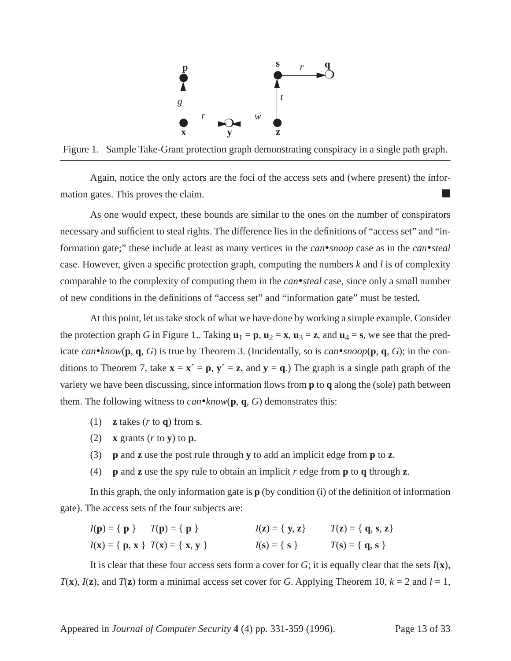

Figure 1. Sample Take-Grant protection graph demonstrating conspiracy in a single path graph.

Again, notice the only actors are the foci of the access sets and (where present) the information gates. This proves the claim.

As one would expect, these bounds are similar to the ones on the number of conspirators necessary and sufficient to steal rights. The difference lies in the definitions of "access set" and "information gate;" these include at least as many vertices in the *can*•*snoop* case as in the *can*•*steal* case. However, given a specific protection graph, computing the numbers *k* and *l* is of complexity comparable to the complexity of computing them in the *can*•*steal* case, since only a small number of new conditions in the definitions of "access set" and "information gate" must be tested.

At this point, let us take stock of what we have done by working a simple example. Consider the protection graph G in Figure 1.. Taking  $\mathbf{u}_1 = \mathbf{p}$ ,  $\mathbf{u}_2 = \mathbf{x}$ ,  $\mathbf{u}_3 = \mathbf{z}$ , and  $\mathbf{u}_4 = \mathbf{s}$ , we see that the predicate *can*•*know*(**p**, **q**, *G*) is true by Theorem 3. (Incidentally, so is *can*•*snoop*(**p**, **q**, *G*); in the conditions to Theorem 7, take  $\mathbf{x} = \mathbf{x}' = \mathbf{p}$ ,  $\mathbf{y}' = \mathbf{z}$ , and  $\mathbf{y} = \mathbf{q}$ .) The graph is a single path graph of the variety we have been discussing, since information flows from **p** to **q** along the (sole) path between them. The following witness to *can*•*know*(**p**, **q**, *G*) demonstrates this:

- (1) **z** takes (*r* to **q**) from **s**.
- (2) **x** grants (*r* to **y**) to **p**.
- (3) **p** and **z** use the post rule through **y** to add an implicit edge from **p** to **z**.
- (4) **p** and **z** use the spy rule to obtain an implicit *r* edge from **p** to **q** through **z**.

In this graph, the only information gate is **p** (by condition (i) of the definition of information gate). The access sets of the four subjects are:

| $I(\mathbf{p}) = \{ \mathbf{p} \}$ $T(\mathbf{p}) = \{ \mathbf{p} \}$ |                                         | $I(\mathbf{z}) = \{ \mathbf{y}, \mathbf{z} \}$ | $T(z) = \{ q, s, z \}$ |
|-----------------------------------------------------------------------|-----------------------------------------|------------------------------------------------|------------------------|
|                                                                       | $I(x) = \{ p, x \}$ $T(x) = \{ x, y \}$ | $I(s) = \{ s \}$                               | $T(s) = \{ q, s \}$    |

It is clear that these four access sets form a cover for  $G$ ; it is equally clear that the sets  $I(\mathbf{x})$ , *T*(**x**), *I*(**z**), and *T*(**z**) form a minimal access set cover for *G*. Applying Theorem 10,  $k = 2$  and  $l = 1$ ,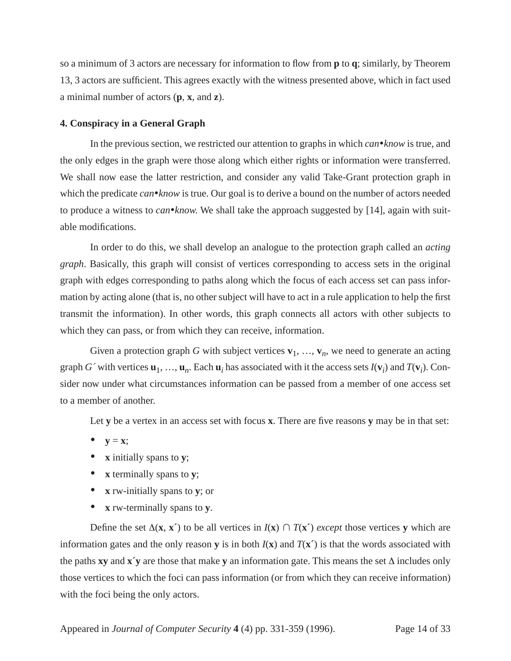so a minimum of 3 actors are necessary for information to flow from **p** to **q**; similarly, by Theorem 13, 3 actors are sufficient. This agrees exactly with the witness presented above, which in fact used a minimal number of actors (**p**, **x**, and **z**).

# **4. Conspiracy in a General Graph**

In the previous section, we restricted our attention to graphs in which *can*•*know* is true, and the only edges in the graph were those along which either rights or information were transferred. We shall now ease the latter restriction, and consider any valid Take-Grant protection graph in which the predicate *can*•*know* is true. Our goal is to derive a bound on the number of actors needed to produce a witness to *can*•*know*. We shall take the approach suggested by [14], again with suitable modifications.

In order to do this, we shall develop an analogue to the protection graph called an *acting graph*. Basically, this graph will consist of vertices corresponding to access sets in the original graph with edges corresponding to paths along which the focus of each access set can pass information by acting alone (that is, no other subject will have to act in a rule application to help the first transmit the information). In other words, this graph connects all actors with other subjects to which they can pass, or from which they can receive, information.

Given a protection graph *G* with subject vertices  $\mathbf{v}_1, \ldots, \mathbf{v}_n$ , we need to generate an acting graph *G*  $\prime$  with vertices  $\mathbf{u}_1, \ldots, \mathbf{u}_n$ . Each  $\mathbf{u}_i$  has associated with it the access sets  $I(\mathbf{v}_i)$  and  $T(\mathbf{v}_i)$ . Consider now under what circumstances information can be passed from a member of one access set to a member of another.

Let **y** be a vertex in an access set with focus **x**. There are five reasons **y** may be in that set:

- $y = x$ ;
- **x** initially spans to **y**;
- **x** terminally spans to **y**;
- **x** rw-initially spans to **y**; or
- **x** rw-terminally spans to **y**.

Define the set  $\Delta$ (**x**, **x**<sup> $\prime$ </sup>) to be all vertices in *I*(**x**) ∩ *T*(**x**<sup> $\prime$ </sup>) *except* those vertices **y** which are information gates and the only reason **y** is in both  $I(x)$  and  $T(x')$  is that the words associated with the paths **xy** and **x´y** are those that make **y** an information gate. This means the set ∆ includes only those vertices to which the foci can pass information (or from which they can receive information) with the foci being the only actors.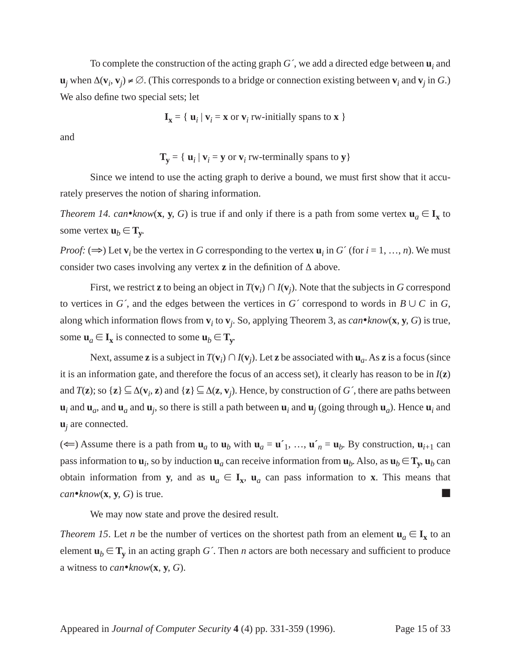To complete the construction of the acting graph  $G$   $\acute{,}$  we add a directed edge between  $\textbf{u}_i$  and **u**<sub>*j*</sub> when  $\Delta$ (**v**<sub>*i*</sub>, **v**<sub>*j*</sub>) ≠ ∅. (This corresponds to a bridge or connection existing between **v**<sub>*i*</sub> and **v**<sub>*j*</sub> in *G*.) We also define two special sets; let

$$
\mathbf{I}_{\mathbf{x}} = \{ \mathbf{u}_i \mid \mathbf{v}_i = \mathbf{x} \text{ or } \mathbf{v}_i \text{ rw-initially spans to } \mathbf{x} \}
$$

and

$$
\mathbf{T}_{\mathbf{y}} = \{ \mathbf{u}_i \mid \mathbf{v}_i = \mathbf{y} \text{ or } \mathbf{v}_i \text{ rw-terminally spans to } \mathbf{y} \}
$$

Since we intend to use the acting graph to derive a bound, we must first show that it accurately preserves the notion of sharing information.

*Theorem 14. can•* $know(x, y, G)$  *is true if and only if there is a path from some vertex*  $u_a \in I_x$  to some vertex  $\mathbf{u}_b \in \mathbf{T}_{\mathbf{v}}$ .

*Proof:*  $(\Rightarrow)$  Let  $\mathbf{v}_i$  be the vertex in *G* corresponding to the vertex  $\mathbf{u}_i$  in *G*<sup> $\prime$ </sup> (for *i* = 1, ..., *n*). We must consider two cases involving any vertex **z** in the definition of ∆ above.

First, we restrict **z** to being an object in  $T(\mathbf{v}_i) \cap I(\mathbf{v}_j)$ . Note that the subjects in *G* correspond to vertices in *G*, and the edges between the vertices in *G* correspond to words in  $B \cup C$  in *G*, along which information flows from  $\mathbf{v}_i$  to  $\mathbf{v}_j$ . So, applying Theorem 3, as  $can \cdot know(\mathbf{x}, \mathbf{y}, G)$  is true, some  $\mathbf{u}_a \in \mathbf{I}_x$  is connected to some  $\mathbf{u}_b \in \mathbf{T}_y$ .

Next, assume **z** is a subject in  $T(\mathbf{v}_i) \cap I(\mathbf{v}_j)$ . Let **z** be associated with  $\mathbf{u}_a$ . As **z** is a focus (since it is an information gate, and therefore the focus of an access set), it clearly has reason to be in *I*(**z**) and *T*(**z**); so {**z**}  $\subseteq \Delta$ (**v**<sub>*i*</sub>, **z**) and {**z**}  $\subseteq \Delta$ (**z**, **v**<sub>*j*</sub>). Hence, by construction of *G*<sup> $\cdot$ </sup>, there are paths between  $\mathbf{u}_i$  and  $\mathbf{u}_a$ , and  $\mathbf{u}_j$ , so there is still a path between  $\mathbf{u}_i$  and  $\mathbf{u}_j$  (going through  $\mathbf{u}_a$ ). Hence  $\mathbf{u}_i$  and **u***j* are connected.

(←) Assume there is a path from  $\mathbf{u}_a$  to  $\mathbf{u}_b$  with  $\mathbf{u}_a = \mathbf{u'}_1, \dots, \mathbf{u'}_n = \mathbf{u}_b$ . By construction,  $\mathbf{u}_{i+1}$  can pass information to  $\mathbf{u}_i$ , so by induction  $\mathbf{u}_a$  can receive information from  $\mathbf{u}_b$ . Also, as  $\mathbf{u}_b \in \mathbf{T_y}$ ,  $\mathbf{u}_b$  can obtain information from **y**, and as  $\mathbf{u}_a \in \mathbf{I}_{\mathbf{x}}$ ,  $\mathbf{u}_a$  can pass information to **x**. This means that  $\mathbf{can}\bullet\mathbf{k} \mathbf{now}(\mathbf{x},\mathbf{y},G)$  is true.

We may now state and prove the desired result.

*Theorem 15.* Let *n* be the number of vertices on the shortest path from an element  $\mathbf{u}_a \in \mathbf{I}_x$  to an element  $\mathbf{u}_b \in \mathbf{T}_v$  in an acting graph *G*<sup> $\dot$ </sup>. Then *n* actors are both necessary and sufficient to produce a witness to *can*•*know*(**x**, **y**, *G*).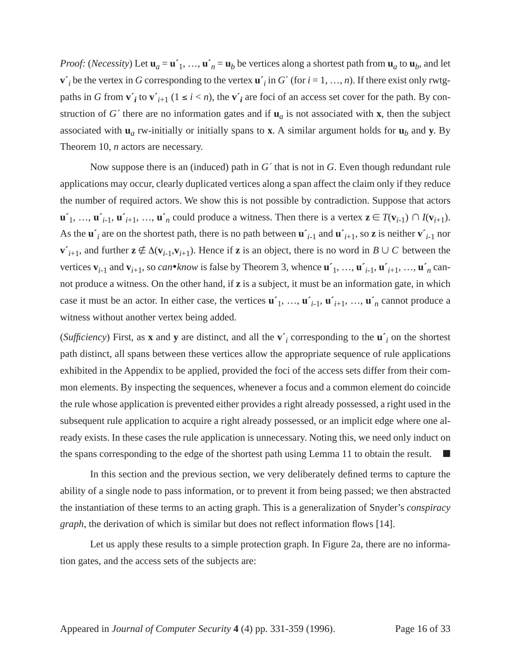*Proof:* (*Necessity*) Let  $\mathbf{u}_a = \mathbf{u}'_1, \dots, \mathbf{u}'_n = \mathbf{u}_b$  be vertices along a shortest path from  $\mathbf{u}_a$  to  $\mathbf{u}_b$ , and let  $\mathbf{v}'_i$  be the vertex in *G* corresponding to the vertex  $\mathbf{u}'_i$  in *G*<sup> $\prime$ </sup> (for *i* = 1, ..., *n*). If there exist only rwtgpaths in *G* from  $\mathbf{v}'_i$  to  $\mathbf{v}'_{i+1}$  (1 ≤ *i* < *n*), the  $\mathbf{v}'_i$  are foci of an access set cover for the path. By construction of *G*<sup> $\prime$ </sup> there are no information gates and if  $\mathbf{u}_a$  is not associated with **x**, then the subject associated with  $\mathbf{u}_a$  rw-initially or initially spans to **x**. A similar argument holds for  $\mathbf{u}_b$  and **y**. By Theorem 10, *n* actors are necessary.

Now suppose there is an (induced) path in *G´* that is not in *G*. Even though redundant rule applications may occur, clearly duplicated vertices along a span affect the claim only if they reduce the number of required actors. We show this is not possible by contradiction. Suppose that actors  $\mathbf{u'}_1, \ldots, \mathbf{u'}_{i-1}, \mathbf{u'}_{i+1}, \ldots, \mathbf{u'}_n$  could produce a witness. Then there is a vertex  $\mathbf{z} \in T(\mathbf{v}_{i-1}) \cap I(\mathbf{v}_{i+1})$ . As the  $\mathbf{u}'_i$  are on the shortest path, there is no path between  $\mathbf{u}'_{i-1}$  and  $\mathbf{u}'_{i+1}$ , so **z** is neither  $\mathbf{v}'_{i-1}$  nor **v**<sup> $\check{i}$ <sub>*i*+1</sub>, and further **z** ∉  $\Delta$ (**v**<sub>*i*-1</sub>, **v**<sub>*i*+1</sub>). Hence if **z** is an object, there is no word in *B* ∪ *C* between the</sup> vertices  $\mathbf{v}_{i-1}$  and  $\mathbf{v}_{i+1}$ , so *can*•*know* is false by Theorem 3, whence  $\mathbf{u'}_1, \ldots, \mathbf{u'}_{i-1}, \mathbf{u'}_{i+1}, \ldots, \mathbf{u'}_n$  cannot produce a witness. On the other hand, if **z** is a subject, it must be an information gate, in which case it must be an actor. In either case, the vertices  $\mathbf{u'}_1$ , …,  $\mathbf{u'}_{i-1}$ ,  $\mathbf{u'}_{i+1}$ , …,  $\mathbf{u'}_n$  cannot produce a witness without another vertex being added.

(*Sufficiency*) First, as **x** and **y** are distinct, and all the  $\mathbf{v}'_i$  corresponding to the  $\mathbf{u}'_i$  on the shortest path distinct, all spans between these vertices allow the appropriate sequence of rule applications exhibited in the Appendix to be applied, provided the foci of the access sets differ from their common elements. By inspecting the sequences, whenever a focus and a common element do coincide the rule whose application is prevented either provides a right already possessed, a right used in the subsequent rule application to acquire a right already possessed, or an implicit edge where one already exists. In these cases the rule application is unnecessary. Noting this, we need only induct on the spans corresponding to the edge of the shortest path using Lemma 11 to obtain the result. ■

In this section and the previous section, we very deliberately defined terms to capture the ability of a single node to pass information, or to prevent it from being passed; we then abstracted the instantiation of these terms to an acting graph. This is a generalization of Snyder's *conspiracy graph*, the derivation of which is similar but does not reflect information flows [14].

Let us apply these results to a simple protection graph. In Figure 2a, there are no information gates, and the access sets of the subjects are: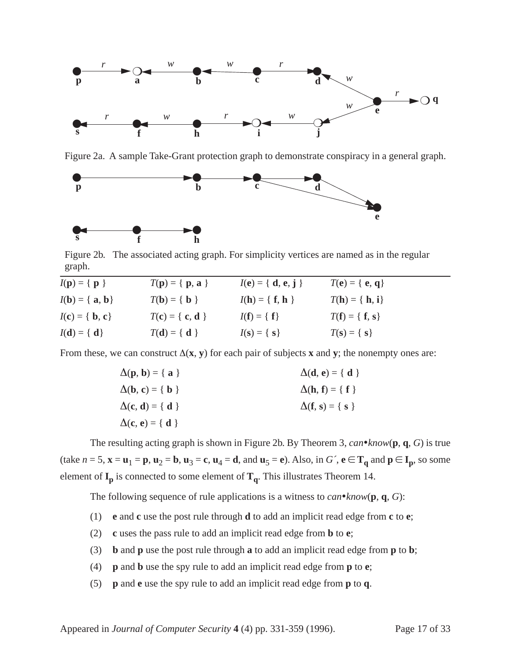

Figure 2a. A sample Take-Grant protection graph to demonstrate conspiracy in a general graph.



Figure 2b. The associated acting graph. For simplicity vertices are named as in the regular graph.

| $I(\mathbf{p}) = \{ \mathbf{p} \}$ | $T(p) = \{ p, a \}$                | $I(e) = \{ d, e, j \}$ | $T(e) = \{e, q\}$   |
|------------------------------------|------------------------------------|------------------------|---------------------|
| $I(b) = \{ a, b \}$                | $T(b) = \{ b \}$                   | $I(h) = \{ f, h \}$    | $T(h) = \{ h, i \}$ |
| $I(c) = \{ b, c \}$                | $T(c) = \{c, d\}$                  | $I(f) = \{ f \}$       | $T(f) = \{ f, s \}$ |
| $I(\mathbf{d}) = \{ \mathbf{d} \}$ | $T(\mathbf{d}) = \{ \mathbf{d} \}$ | $I(s) = \{ s \}$       | $T(s) = \{ s \}$    |

From these, we can construct ∆(**x**, **y**) for each pair of subjects **x** and **y**; the nonempty ones are:

| $\Delta(\mathbf{p}, \mathbf{b}) = \{ \mathbf{a} \}$ | $\Delta(\mathbf{d}, \mathbf{e}) = \{ \mathbf{d} \}$ |
|-----------------------------------------------------|-----------------------------------------------------|
| $\Delta(\mathbf{b}, \mathbf{c}) = \{\mathbf{b}\}\$  | $\Delta(h, f) = \{f\}$                              |
| $\Delta(c, d) = \{ d \}$                            | $\Delta(f, s) = \{ s \}$                            |
| $\Delta(c, e) = \{ d \}$                            |                                                     |

The resulting acting graph is shown in Figure 2b. By Theorem 3, *can*•*know*(**p**, **q**, *G*) is true (take  $n = 5$ ,  $\mathbf{x} = \mathbf{u}_1 = \mathbf{p}$ ,  $\mathbf{u}_2 = \mathbf{b}$ ,  $\mathbf{u}_3 = \mathbf{c}$ ,  $\mathbf{u}_4 = \mathbf{d}$ , and  $\mathbf{u}_5 = \mathbf{e}$ ). Also, in *G*<sup> $\prime$ </sup>,  $\mathbf{e} \in \mathbf{T}_q$  and  $\mathbf{p} \in \mathbf{I}_p$ , so some element of  $\mathbf{I}_p$  is connected to some element of  $\mathbf{T}_q$ . This illustrates Theorem 14.

The following sequence of rule applications is a witness to *can*•*know*(**p**, **q**, *G*):

- (1) **e** and **c** use the post rule through **d** to add an implicit read edge from **c** to **e**;
- (2) **c** uses the pass rule to add an implicit read edge from **b** to **e**;
- (3) **b** and **p** use the post rule through **a** to add an implicit read edge from **p** to **b**;
- (4) **p** and **b** use the spy rule to add an implicit read edge from **p** to **e**;
- (5) **p** and **e** use the spy rule to add an implicit read edge from **p** to **q**.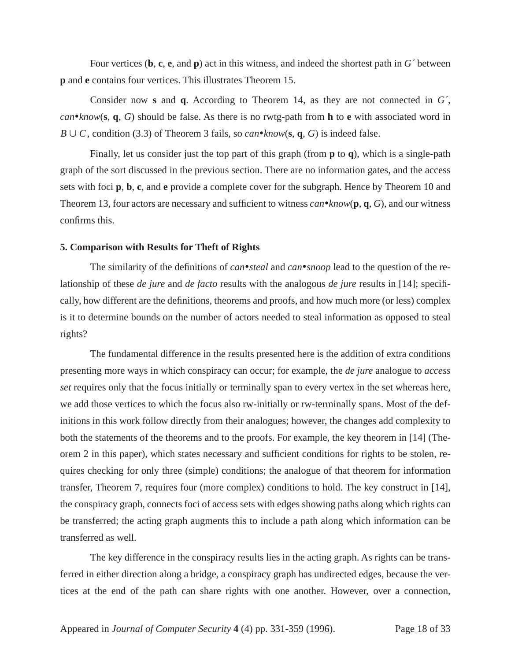Four vertices (**b**, **c**, **e**, and **p**) act in this witness, and indeed the shortest path in *G´* between **p** and **e** contains four vertices. This illustrates Theorem 15.

Consider now **s** and **q**. According to Theorem 14, as they are not connected in *G´*, *can*•*know*(**s**, **q**, *G*) should be false. As there is no rwtg-path from **h** to **e** with associated word in  $B \cup C$ , condition (3.3) of Theorem 3 fails, so  $can \cdot \text{k}now(s, q, G)$  is indeed false.

Finally, let us consider just the top part of this graph (from **p** to **q**), which is a single-path graph of the sort discussed in the previous section. There are no information gates, and the access sets with foci **p**, **b**, **c**, and **e** provide a complete cover for the subgraph. Hence by Theorem 10 and Theorem 13, four actors are necessary and sufficient to witness *can*•*know*(**p**, **q**, *G*), and our witness confirms this.

# **5. Comparison with Results for Theft of Rights**

The similarity of the definitions of *can*•*steal* and *can*•*snoop* lead to the question of the relationship of these *de jure* and *de facto* results with the analogous *de jure* results in [14]; specifically, how different are the definitions, theorems and proofs, and how much more (or less) complex is it to determine bounds on the number of actors needed to steal information as opposed to steal rights?

The fundamental difference in the results presented here is the addition of extra conditions presenting more ways in which conspiracy can occur; for example, the *de jure* analogue to *access set* requires only that the focus initially or terminally span to every vertex in the set whereas here, we add those vertices to which the focus also rw-initially or rw-terminally spans. Most of the definitions in this work follow directly from their analogues; however, the changes add complexity to both the statements of the theorems and to the proofs. For example, the key theorem in [14] (Theorem 2 in this paper), which states necessary and sufficient conditions for rights to be stolen, requires checking for only three (simple) conditions; the analogue of that theorem for information transfer, Theorem 7, requires four (more complex) conditions to hold. The key construct in [14], the conspiracy graph, connects foci of access sets with edges showing paths along which rights can be transferred; the acting graph augments this to include a path along which information can be transferred as well.

The key difference in the conspiracy results lies in the acting graph. As rights can be transferred in either direction along a bridge, a conspiracy graph has undirected edges, because the vertices at the end of the path can share rights with one another. However, over a connection,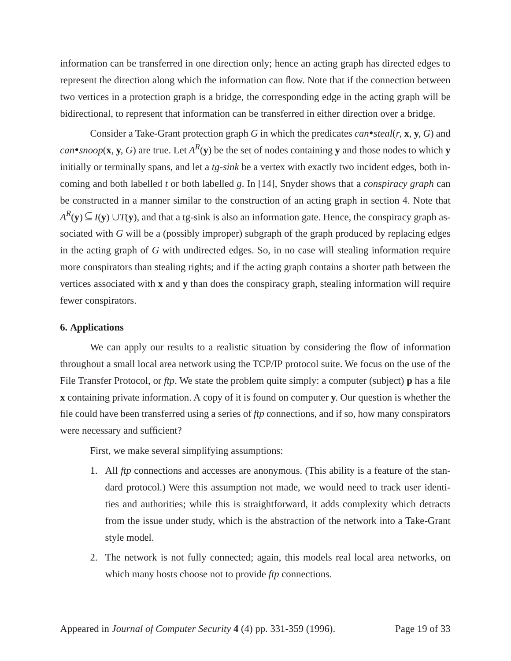information can be transferred in one direction only; hence an acting graph has directed edges to represent the direction along which the information can flow. Note that if the connection between two vertices in a protection graph is a bridge, the corresponding edge in the acting graph will be bidirectional, to represent that information can be transferred in either direction over a bridge.

Consider a Take-Grant protection graph *G* in which the predicates *can*•*steal*(*r*, **x**, **y**, *G*) and *can*•*snoop*(**x**, **y**, *G*) are true. Let *AR*(**y**) be the set of nodes containing **y** and those nodes to which **y** initially or terminally spans, and let a *tg-sink* be a vertex with exactly two incident edges, both incoming and both labelled *t* or both labelled *g*. In [14], Snyder shows that a *conspiracy graph* can be constructed in a manner similar to the construction of an acting graph in section 4. Note that  $A^R(\mathbf{v}) \subseteq I(\mathbf{v}) \cup T(\mathbf{v})$ , and that a tg-sink is also an information gate. Hence, the conspiracy graph associated with *G* will be a (possibly improper) subgraph of the graph produced by replacing edges in the acting graph of *G* with undirected edges. So, in no case will stealing information require more conspirators than stealing rights; and if the acting graph contains a shorter path between the vertices associated with **x** and **y** than does the conspiracy graph, stealing information will require fewer conspirators.

# **6. Applications**

We can apply our results to a realistic situation by considering the flow of information throughout a small local area network using the TCP/IP protocol suite. We focus on the use of the File Transfer Protocol, or *ftp*. We state the problem quite simply: a computer (subject) **p** has a file **x** containing private information. A copy of it is found on computer **y**. Our question is whether the file could have been transferred using a series of *ftp* connections, and if so, how many conspirators were necessary and sufficient?

First, we make several simplifying assumptions:

- 1. All *ftp* connections and accesses are anonymous. (This ability is a feature of the standard protocol.) Were this assumption not made, we would need to track user identities and authorities; while this is straightforward, it adds complexity which detracts from the issue under study, which is the abstraction of the network into a Take-Grant style model.
- 2. The network is not fully connected; again, this models real local area networks, on which many hosts choose not to provide *ftp* connections.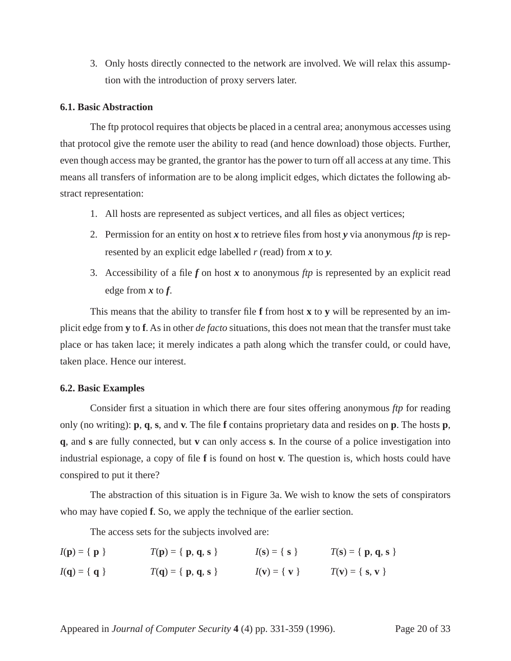3. Only hosts directly connected to the network are involved. We will relax this assumption with the introduction of proxy servers later.

# **6.1. Basic Abstraction**

The ftp protocol requires that objects be placed in a central area; anonymous accesses using that protocol give the remote user the ability to read (and hence download) those objects. Further, even though access may be granted, the grantor has the power to turn off all access at any time. This means all transfers of information are to be along implicit edges, which dictates the following abstract representation:

- 1. All hosts are represented as subject vertices, and all files as object vertices;
- 2. Permission for an entity on host *x* to retrieve files from host *y* via anonymous *ftp* is represented by an explicit edge labelled *r* (read) from *x* to *y*.
- 3. Accessibility of a file *f* on host *x* to anonymous *ftp* is represented by an explicit read edge from *x* to *f*.

This means that the ability to transfer file **f** from host **x** to **y** will be represented by an implicit edge from **y** to **f**. As in other *de facto* situations, this does not mean that the transfer must take place or has taken lace; it merely indicates a path along which the transfer could, or could have, taken place. Hence our interest.

# **6.2. Basic Examples**

Consider first a situation in which there are four sites offering anonymous *ftp* for reading only (no writing): **p**, **q**, **s**, and **v**. The file **f** contains proprietary data and resides on **p**. The hosts **p**, **q**, and **s** are fully connected, but **v** can only access **s**. In the course of a police investigation into industrial espionage, a copy of file **f** is found on host **v**. The question is, which hosts could have conspired to put it there?

The abstraction of this situation is in Figure 3a. We wish to know the sets of conspirators who may have copied **f**. So, we apply the technique of the earlier section.

The access sets for the subjects involved are:

| $I(p) = \{ p \}$ | $T(p) = \{ p, q, s \}$ | $I(s) = \{ s \}$ | $T(s) = \{ p, q, s \}$ |
|------------------|------------------------|------------------|------------------------|
| $I(q) = \{ q \}$ | $T(q) = \{ p, q, s \}$ | $I(v) = \{ v \}$ | $T(v) = \{ s, v \}$    |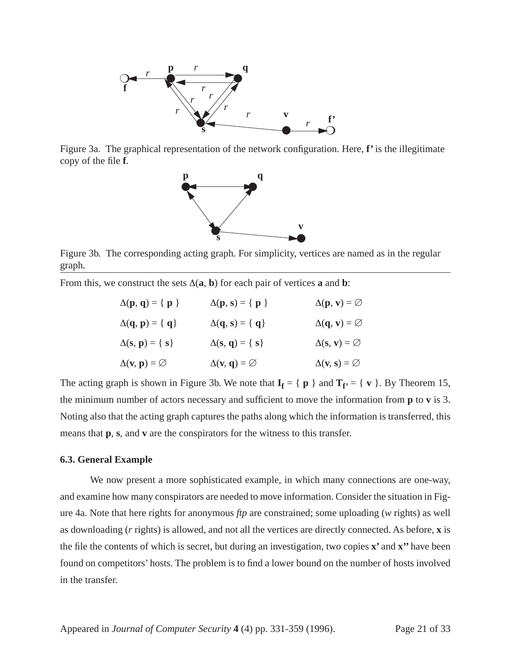

Figure 3a. The graphical representation of the network configuration. Here, **f'** is the illegitimate copy of the file **f**.



Figure 3b. The corresponding acting graph. For simplicity, vertices are named as in the regular graph.

From this, we construct the sets  $\Delta(\mathbf{a}, \mathbf{b})$  for each pair of vertices **a** and **b**:

| $\Delta(\mathbf{p}, \mathbf{q}) = \{ \mathbf{p} \}$ | $\Delta(\mathbf{p}, \mathbf{s}) = \{ \mathbf{p} \}$ | $\Delta(\mathbf{p}, \mathbf{v}) = \varnothing$ |
|-----------------------------------------------------|-----------------------------------------------------|------------------------------------------------|
| $\Delta(\mathbf{q}, \mathbf{p}) = \{ \mathbf{q} \}$ | $\Delta(\mathbf{q}, \mathbf{s}) = \{ \mathbf{q} \}$ | $\Delta(\mathbf{q}, \mathbf{v}) = \varnothing$ |
| $\Delta(\mathbf{s}, \mathbf{p}) = \{ \mathbf{s} \}$ | $\Delta(\mathbf{s}, \mathbf{q}) = \{ \mathbf{s} \}$ | $\Delta(\mathbf{s}, \mathbf{v}) = \varnothing$ |
| $\Delta(\mathbf{v}, \mathbf{p}) = \varnothing$      | $\Delta(\mathbf{v}, \mathbf{q}) = \varnothing$      | $\Delta(\mathbf{v}, \mathbf{s}) = \varnothing$ |

The acting graph is shown in Figure 3b. We note that  $I_f = \{ p \}$  and  $T_f = \{ v \}$ . By Theorem 15, the minimum number of actors necessary and sufficient to move the information from **p** to **v** is 3. Noting also that the acting graph captures the paths along which the information is transferred, this means that **p**, **s**, and **v** are the conspirators for the witness to this transfer.

#### **6.3. General Example**

We now present a more sophisticated example, in which many connections are one-way, and examine how many conspirators are needed to move information. Consider the situation in Figure 4a. Note that here rights for anonymous *ftp* are constrained; some uploading (*w* rights) as well as downloading (*r* rights) is allowed, and not all the vertices are directly connected. As before, **x** is the file the contents of which is secret, but during an investigation, two copies **x'** and **x''** have been found on competitors' hosts. The problem is to find a lower bound on the number of hosts involved in the transfer.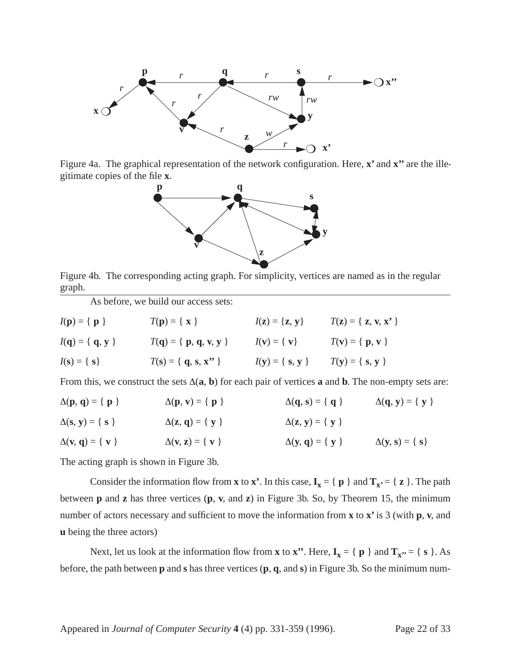

Figure 4a. The graphical representation of the network configuration. Here, **x'** and **x''** are the illegitimate copies of the file **x**.



Figure 4b. The corresponding acting graph. For simplicity, vertices are named as in the regular graph.

As before, we build our access sets:

| $I(\mathbf{p}) = \{ \mathbf{p} \}$ | $T(\mathbf{p}) = \{ \mathbf{x} \}$ | $I(\mathbf{z}) = {\mathbf{z}, \mathbf{y}}$ | $T(\mathbf{z}) = \{ \mathbf{z}, \mathbf{v}, \mathbf{x'} \}$ |
|------------------------------------|------------------------------------|--------------------------------------------|-------------------------------------------------------------|
| $I(q) = \{ q, y \}$                | $T(q) = \{ p, q, v, y \}$          | $I(v) = \{ v \}$                           | $T(v) = \{ p, v \}$                                         |
| $I(s) = \{ s \}$                   | $T(s) = \{ q, s, x'' \}$           | $I(y) = \{ s, y \}$                        | $T(y) = \{ s, y \}$                                         |

From this, we construct the sets ∆(**a**, **b**) for each pair of vertices **a** and **b**. The non-empty sets are:

| $\Delta(\mathbf{p}, \mathbf{q}) = \{ \mathbf{p} \}$ | $\Delta(\mathbf{p}, \mathbf{v}) = \{ \mathbf{p} \}$ | $\Delta(\mathbf{q}, \mathbf{s}) = \{ \mathbf{q} \}$ | $\Delta(\mathbf{q}, \mathbf{y}) = \{ \mathbf{y} \}$ |
|-----------------------------------------------------|-----------------------------------------------------|-----------------------------------------------------|-----------------------------------------------------|
| $\Delta(s, y) = \{ s \}$                            | $\Delta(\mathbf{z}, \mathbf{q}) = \{ \mathbf{y} \}$ | $\Delta(\mathbf{z}, \mathbf{y}) = \{ \mathbf{y} \}$ |                                                     |
| $\Delta(\mathbf{v}, \mathbf{q}) = \{ \mathbf{v} \}$ | $\Delta(\mathbf{v}, \mathbf{z}) = \{ \mathbf{v} \}$ | $\Delta(y, q) = \{ y \}$                            | $\Delta(y, s) = \{ s \}$                            |

The acting graph is shown in Figure 3b.

Consider the information flow from **x** to **x**<sup>2</sup>. In this case,  $I_x = \{ p \}$  and  $T_x = \{ z \}$ . The path between **p** and **z** has three vertices (**p**, **v**, and **z**) in Figure 3b. So, by Theorem 15, the minimum number of actors necessary and sufficient to move the information from **x** to **x'** is 3 (with **p**, **v**, and **u** being the three actors)

Next, let us look at the information flow from **x** to **x**". Here,  $I_x = \{ p \}$  and  $T_x = \{ s \}$ . As before, the path between **p** and **s** has three vertices (**p**, **q**, and **s**) in Figure 3b. So the minimum num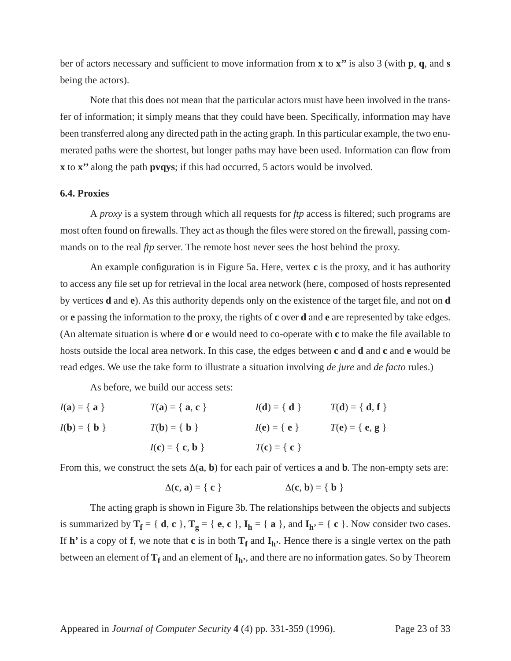ber of actors necessary and sufficient to move information from **x** to **x''** is also 3 (with **p**, **q**, and **s** being the actors).

Note that this does not mean that the particular actors must have been involved in the transfer of information; it simply means that they could have been. Specifically, information may have been transferred along any directed path in the acting graph. In this particular example, the two enumerated paths were the shortest, but longer paths may have been used. Information can flow from **x** to **x''** along the path **pvqys**; if this had occurred, 5 actors would be involved.

#### **6.4. Proxies**

A *proxy* is a system through which all requests for *ftp* access is filtered; such programs are most often found on firewalls. They act as though the files were stored on the firewall, passing commands on to the real *ftp* server. The remote host never sees the host behind the proxy.

An example configuration is in Figure 5a. Here, vertex **c** is the proxy, and it has authority to access any file set up for retrieval in the local area network (here, composed of hosts represented by vertices **d** and **e**). As this authority depends only on the existence of the target file, and not on **d** or **e** passing the information to the proxy, the rights of **c** over **d** and **e** are represented by take edges. (An alternate situation is where **d** or **e** would need to co-operate with **c** to make the file available to hosts outside the local area network. In this case, the edges between **c** and **d** and **c** and **e** would be read edges. We use the take form to illustrate a situation involving *de jure* and *de facto* rules.)

As before, we build our access sets:

| $I(\mathbf{a}) = \{ \mathbf{a} \}$ | $T(a) = \{ a, c \}$ | $I(\mathbf{d}) = \{ \mathbf{d} \}$ | $T(d) = \{ d, f \}$ |
|------------------------------------|---------------------|------------------------------------|---------------------|
| $I(b) = \{ b \}$                   | $T(b) = \{ b \}$    | $I(e) = \{ e \}$                   | $T(e) = \{e, g\}$   |
|                                    | $I(c) = \{c, b\}$   | $T(c) = \{c\}$                     |                     |

From this, we construct the sets ∆(**a**, **b**) for each pair of vertices **a** and **b**. The non-empty sets are:

$$
\Delta(c, a) = \{ c \} \qquad \Delta(c, b) = \{ b \}
$$

The acting graph is shown in Figure 3b. The relationships between the objects and subjects is summarized by  $T_f = \{ d, c \}$ ,  $T_g = \{ e, c \}$ ,  $I_h = \{ a \}$ , and  $I_h = \{ c \}$ . Now consider two cases. If **h**' is a copy of **f**, we note that **c** is in both  $T_f$  and  $I_h$ . Hence there is a single vertex on the path between an element of  $T_f$  and an element of  $I_h$ <sup>,</sup>, and there are no information gates. So by Theorem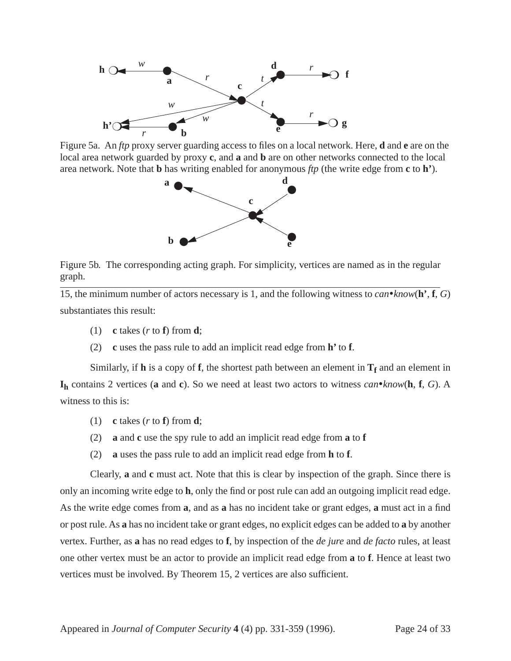

Figure 5a. An *ftp* proxy server guarding access to files on a local network. Here, **d** and **e** are on the local area network guarded by proxy **c**, and **a** and **b** are on other networks connected to the local area network. Note that **b** has writing enabled for anonymous *ftp* (the write edge from **c** to **h'**).



Figure 5b. The corresponding acting graph. For simplicity, vertices are named as in the regular graph.

15, the minimum number of actors necessary is 1, and the following witness to *can*•*know*(**h'**, **f**, *G*) substantiates this result:

- (1) **c** takes (*r* to **f**) from **d**;
- (2) **c** uses the pass rule to add an implicit read edge from **h'** to **f**.

Similarly, if **h** is a copy of **f**, the shortest path between an element in  $T_f$  and an element in **Ih** contains 2 vertices (**a** and **c**). So we need at least two actors to witness *can*•*know*(**h**, **f**, *G*). A witness to this is:

- (1) **c** takes (*r* to **f**) from **d**;
- (2) **a** and **c** use the spy rule to add an implicit read edge from **a** to **f**
- (2) **a** uses the pass rule to add an implicit read edge from **h** to **f**.

Clearly, **a** and **c** must act. Note that this is clear by inspection of the graph. Since there is only an incoming write edge to **h**, only the find or post rule can add an outgoing implicit read edge. As the write edge comes from **a**, and as **a** has no incident take or grant edges, **a** must act in a find or post rule. As **a** has no incident take or grant edges, no explicit edges can be added to **a** by another vertex. Further, as **a** has no read edges to **f**, by inspection of the *de jure* and *de facto* rules, at least one other vertex must be an actor to provide an implicit read edge from **a** to **f**. Hence at least two vertices must be involved. By Theorem 15, 2 vertices are also sufficient.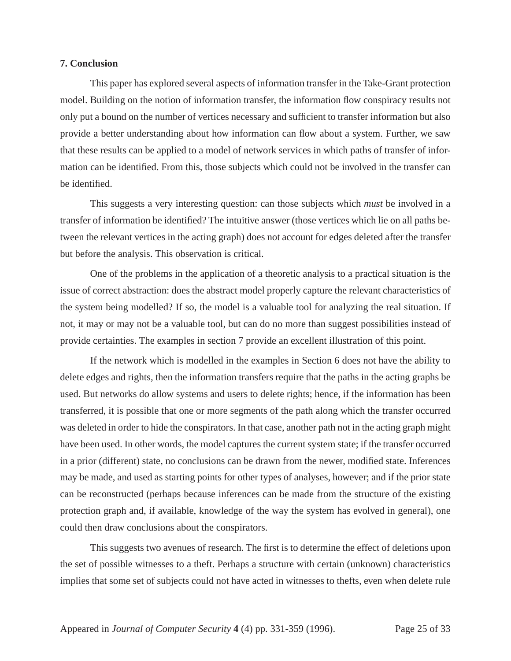### **7. Conclusion**

This paper has explored several aspects of information transfer in the Take-Grant protection model. Building on the notion of information transfer, the information flow conspiracy results not only put a bound on the number of vertices necessary and sufficient to transfer information but also provide a better understanding about how information can flow about a system. Further, we saw that these results can be applied to a model of network services in which paths of transfer of information can be identified. From this, those subjects which could not be involved in the transfer can be identified.

This suggests a very interesting question: can those subjects which *must* be involved in a transfer of information be identified? The intuitive answer (those vertices which lie on all paths between the relevant vertices in the acting graph) does not account for edges deleted after the transfer but before the analysis. This observation is critical.

One of the problems in the application of a theoretic analysis to a practical situation is the issue of correct abstraction: does the abstract model properly capture the relevant characteristics of the system being modelled? If so, the model is a valuable tool for analyzing the real situation. If not, it may or may not be a valuable tool, but can do no more than suggest possibilities instead of provide certainties. The examples in section 7 provide an excellent illustration of this point.

If the network which is modelled in the examples in Section 6 does not have the ability to delete edges and rights, then the information transfers require that the paths in the acting graphs be used. But networks do allow systems and users to delete rights; hence, if the information has been transferred, it is possible that one or more segments of the path along which the transfer occurred was deleted in order to hide the conspirators. In that case, another path not in the acting graph might have been used. In other words, the model captures the current system state; if the transfer occurred in a prior (different) state, no conclusions can be drawn from the newer, modified state. Inferences may be made, and used as starting points for other types of analyses, however; and if the prior state can be reconstructed (perhaps because inferences can be made from the structure of the existing protection graph and, if available, knowledge of the way the system has evolved in general), one could then draw conclusions about the conspirators.

This suggests two avenues of research. The first is to determine the effect of deletions upon the set of possible witnesses to a theft. Perhaps a structure with certain (unknown) characteristics implies that some set of subjects could not have acted in witnesses to thefts, even when delete rule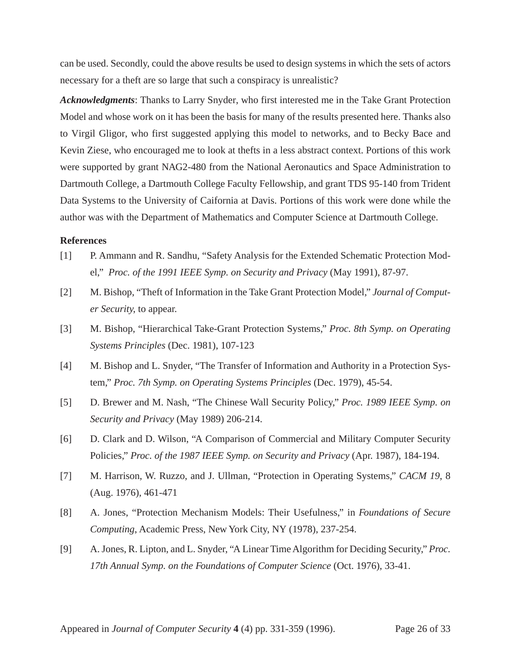can be used. Secondly, could the above results be used to design systems in which the sets of actors necessary for a theft are so large that such a conspiracy is unrealistic?

*Acknowledgments*: Thanks to Larry Snyder, who first interested me in the Take Grant Protection Model and whose work on it has been the basis for many of the results presented here. Thanks also to Virgil Gligor, who first suggested applying this model to networks, and to Becky Bace and Kevin Ziese, who encouraged me to look at thefts in a less abstract context. Portions of this work were supported by grant NAG2-480 from the National Aeronautics and Space Administration to Dartmouth College, a Dartmouth College Faculty Fellowship, and grant TDS 95-140 from Trident Data Systems to the University of Caifornia at Davis. Portions of this work were done while the author was with the Department of Mathematics and Computer Science at Dartmouth College.

# **References**

- [1] P. Ammann and R. Sandhu, "Safety Analysis for the Extended Schematic Protection Model," *Proc. of the 1991 IEEE Symp. on Security and Privacy* (May 1991), 87-97.
- [2] M. Bishop, "Theft of Information in the Take Grant Protection Model," *Journal of Computer Security*, to appear.
- [3] M. Bishop, "Hierarchical Take-Grant Protection Systems," *Proc. 8th Symp. on Operating Systems Principles* (Dec. 1981), 107-123
- [4] M. Bishop and L. Snyder, "The Transfer of Information and Authority in a Protection System," *Proc. 7th Symp. on Operating Systems Principles* (Dec. 1979), 45-54.
- [5] D. Brewer and M. Nash, "The Chinese Wall Security Policy," *Proc. 1989 IEEE Symp. on Security and Privacy* (May 1989) 206-214.
- [6] D. Clark and D. Wilson, "A Comparison of Commercial and Military Computer Security Policies," *Proc. of the 1987 IEEE Symp. on Security and Privacy* (Apr. 1987), 184-194.
- [7] M. Harrison, W. Ruzzo, and J. Ullman, "Protection in Operating Systems," *CACM 19*, 8 (Aug. 1976), 461-471
- [8] A. Jones, "Protection Mechanism Models: Their Usefulness," in *Foundations of Secure Computing*, Academic Press, New York City, NY (1978), 237-254.
- [9] A. Jones, R. Lipton, and L. Snyder, "A Linear Time Algorithm for Deciding Security," *Proc. 17th Annual Symp. on the Foundations of Computer Science* (Oct. 1976), 33-41.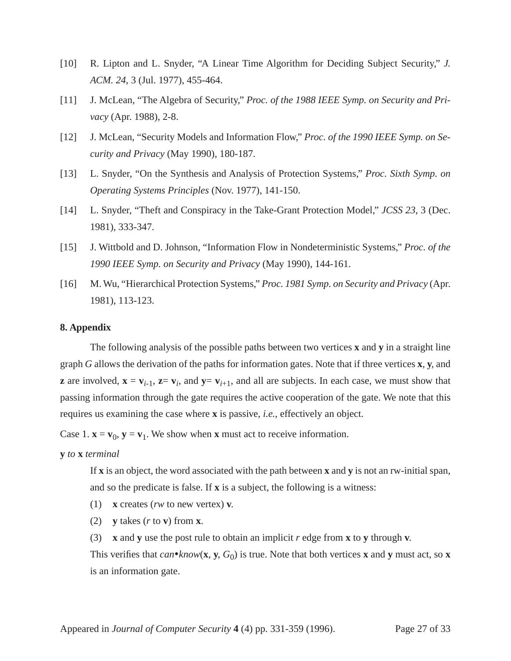- [10] R. Lipton and L. Snyder, "A Linear Time Algorithm for Deciding Subject Security," *J. ACM. 24*, 3 (Jul. 1977), 455-464.
- [11] J. McLean, "The Algebra of Security," *Proc. of the 1988 IEEE Symp. on Security and Privacy* (Apr. 1988), 2-8.
- [12] J. McLean, "Security Models and Information Flow," *Proc. of the 1990 IEEE Symp. on Security and Privacy* (May 1990), 180-187.
- [13] L. Snyder, "On the Synthesis and Analysis of Protection Systems," *Proc. Sixth Symp. on Operating Systems Principles* (Nov. 1977), 141-150.
- [14] L. Snyder, "Theft and Conspiracy in the Take-Grant Protection Model," *JCSS 23*, 3 (Dec. 1981), 333-347.
- [15] J. Wittbold and D. Johnson, "Information Flow in Nondeterministic Systems," *Proc. of the 1990 IEEE Symp. on Security and Privacy* (May 1990), 144-161.
- [16] M. Wu, "Hierarchical Protection Systems," *Proc. 1981 Symp. on Security and Privacy* (Apr. 1981), 113-123.

#### **8. Appendix**

The following analysis of the possible paths between two vertices **x** and **y** in a straight line graph *G* allows the derivation of the paths for information gates. Note that if three vertices **x**, **y**, and **z** are involved,  $\mathbf{x} = \mathbf{v}_{i-1}$ ,  $\mathbf{z} = \mathbf{v}_i$ , and  $\mathbf{y} = \mathbf{v}_{i+1}$ , and all are subjects. In each case, we must show that passing information through the gate requires the active cooperation of the gate. We note that this requires us examining the case where **x** is passive, *i.e.*, effectively an object.

Case 1.  $\mathbf{x} = \mathbf{v}_0$ ,  $\mathbf{y} = \mathbf{v}_1$ . We show when **x** must act to receive information.

**y** *to* **x** *terminal*

If **x** is an object, the word associated with the path between **x** and **y** is not an rw-initial span, and so the predicate is false. If **x** is a subject, the following is a witness:

- (1) **x** creates (*rw* to new vertex) **v**.
- (2) **y** takes (*r* to **v**) from **x**.
- (3) **x** and **y** use the post rule to obtain an implicit *r* edge from **x** to **y** through **v**.

This verifies that  $can \cdot \textit{know}(x, y, G_0)$  is true. Note that both vertices **x** and **y** must act, so **x** is an information gate.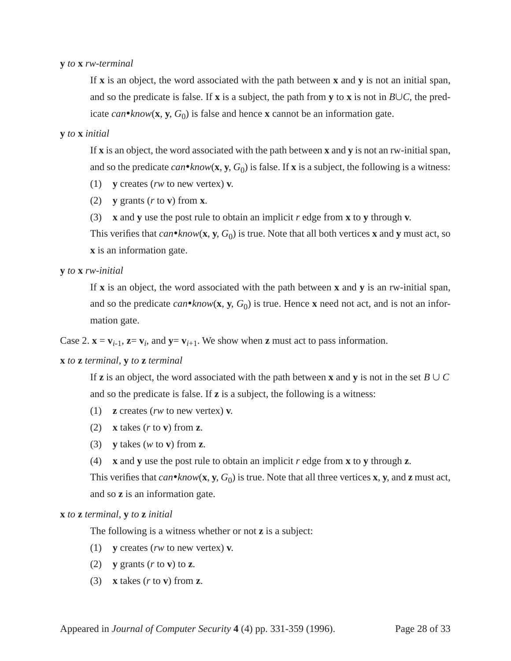#### **y** *to* **x** *rw-terminal*

If **x** is an object, the word associated with the path between **x** and **y** is not an initial span, and so the predicate is false. If **x** is a subject, the path from **y** to **x** is not in  $B\cup C$ , the predicate  $can \cdot \textit{know}(x, y, G_0)$  is false and hence **x** cannot be an information gate.

#### **y** *to* **x** *initial*

If **x** is an object, the word associated with the path between **x** and **y** is not an rw-initial span, and so the predicate  $can \cdot know(\mathbf{x}, \mathbf{y}, G_0)$  is false. If **x** is a subject, the following is a witness:

- (1) **y** creates (*rw* to new vertex) **v**.
- (2) **y** grants (*r* to **v**) from **x**.
- (3) **x** and **y** use the post rule to obtain an implicit *r* edge from **x** to **y** through **v**.

This verifies that  $can \cdot \text{k}now(\mathbf{x}, \mathbf{y}, G_0)$  is true. Note that all both vertices **x** and **y** must act, so **x** is an information gate.

# **y** *to* **x** *rw-initial*

If **x** is an object, the word associated with the path between **x** and **y** is an rw-initial span, and so the predicate  $can \cdot \textit{know}(x, y, G_0)$  is true. Hence x need not act, and is not an information gate.

Case 2.  $\mathbf{x} = \mathbf{v}_{i-1}$ ,  $\mathbf{z} = \mathbf{v}_i$ , and  $\mathbf{y} = \mathbf{v}_{i+1}$ . We show when **z** must act to pass information.

## **x** *to* **z** *terminal*, **y** *to* **z** *terminal*

If **z** is an object, the word associated with the path between **x** and **y** is not in the set  $B \cup C$ and so the predicate is false. If **z** is a subject, the following is a witness:

- (1) **z** creates (*rw* to new vertex) **v**.
- (2) **x** takes (*r* to **v**) from **z**.
- (3) **y** takes (*w* to **v**) from **z**.
- (4) **x** and **y** use the post rule to obtain an implicit *r* edge from **x** to **y** through **z**.

This verifies that  $can \cdot \textit{know}(x, y, G_0)$  is true. Note that all three vertices **x**, **y**, and **z** must act, and so **z** is an information gate.

### **x** *to* **z** *terminal*, **y** *to* **z** *initial*

The following is a witness whether or not **z** is a subject:

- (1) **y** creates (*rw* to new vertex) **v**.
- (2) **y** grants (*r* to **v**) to **z**.
- (3) **x** takes (*r* to **v**) from **z**.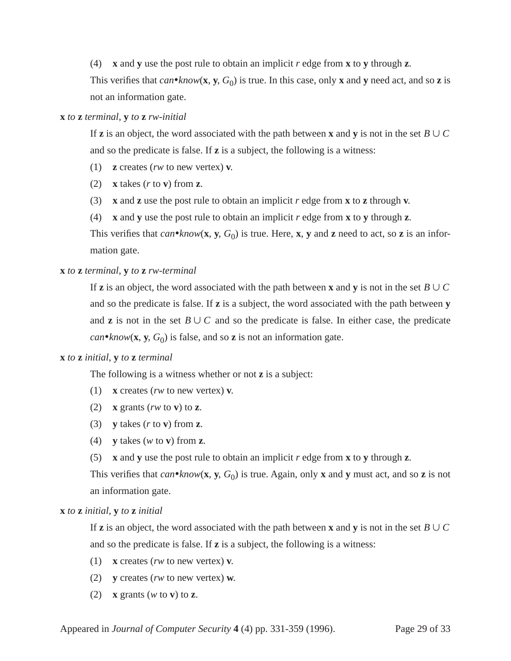(4) **x** and **y** use the post rule to obtain an implicit *r* edge from **x** to **y** through **z**.

This verifies that  $can \cdot \text{k}now(\mathbf{x}, \mathbf{y}, G_0)$  is true. In this case, only **x** and **y** need act, and so **z** is not an information gate.

# **x** *to* **z** *terminal*, **y** *to* **z** *rw-initial*

If **z** is an object, the word associated with the path between **x** and **y** is not in the set  $B \cup C$ and so the predicate is false. If **z** is a subject, the following is a witness:

- (1) **z** creates (*rw* to new vertex) **v**.
- (2) **x** takes (*r* to **v**) from **z**.
- (3) **x** and **z** use the post rule to obtain an implicit *r* edge from **x** to **z** through **v**.
- (4) **x** and **y** use the post rule to obtain an implicit *r* edge from **x** to **y** through **z**.

This verifies that  $can \cdot \textit{know}(x, y, G_0)$  is true. Here, x, y and z need to act, so z is an information gate.

# **x** *to* **z** *terminal*, **y** *to* **z** *rw-terminal*

If **z** is an object, the word associated with the path between **x** and **y** is not in the set  $B \cup C$ and so the predicate is false. If **z** is a subject, the word associated with the path between **y** and **z** is not in the set  $B \cup C$  and so the predicate is false. In either case, the predicate  $can \cdot \textit{know}(x, y, G_0)$  is false, and so **z** is not an information gate.

#### **x** *to* **z** *initial*, **y** *to* **z** *terminal*

The following is a witness whether or not **z** is a subject:

- (1) **x** creates (*rw* to new vertex) **v**.
- (2) **x** grants (*rw* to **v**) to **z**.
- (3) **y** takes (*r* to **v**) from **z**.
- (4) **y** takes (*w* to **v**) from **z**.
- (5) **x** and **y** use the post rule to obtain an implicit *r* edge from **x** to **y** through **z**.

This verifies that  $can \cdot \text{k}now(\mathbf{x}, \mathbf{y}, G_0)$  is true. Again, only **x** and **y** must act, and so **z** is not an information gate.

#### **x** *to* **z** *initial*, **y** *to* **z** *initial*

If **z** is an object, the word associated with the path between **x** and **y** is not in the set  $B \cup C$ and so the predicate is false. If **z** is a subject, the following is a witness:

- (1) **x** creates (*rw* to new vertex) **v**.
- (2) **y** creates (*rw* to new vertex) **w**.
- (2) **x** grants (*w* to **v**) to **z**.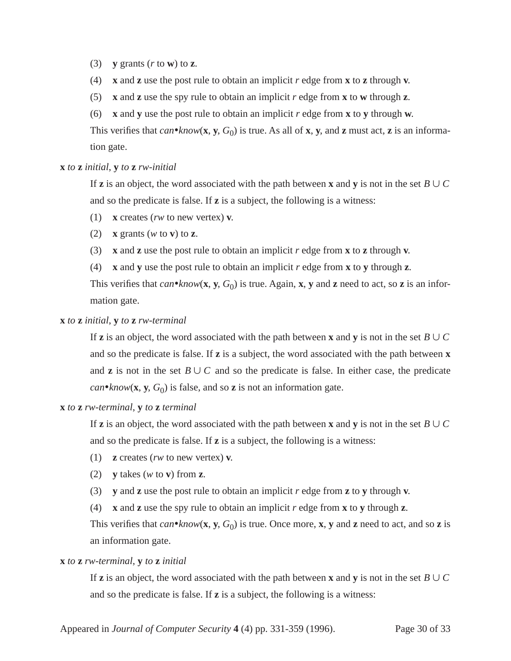(3) **y** grants (*r* to **w**) to **z**.

- (4) **x** and **z** use the post rule to obtain an implicit *r* edge from **x** to **z** through **v**.
- (5) **x** and **z** use the spy rule to obtain an implicit *r* edge from **x** to **w** through **z**.
- (6) **x** and **y** use the post rule to obtain an implicit *r* edge from **x** to **y** through **w**.

This verifies that  $can \cdot \cdot \cdot know(\mathbf{x}, \mathbf{y}, G_0)$  is true. As all of **x**, **y**, and **z** must act, **z** is an information gate.

# **x** *to* **z** *initial*, **y** *to* **z** *rw-initial*

If **z** is an object, the word associated with the path between **x** and **y** is not in the set  $B \cup C$ and so the predicate is false. If **z** is a subject, the following is a witness:

- (1) **x** creates (*rw* to new vertex) **v**.
- (2) **x** grants (*w* to **v**) to **z**.
- (3) **x** and **z** use the post rule to obtain an implicit *r* edge from **x** to **z** through **v**.
- (4) **x** and **y** use the post rule to obtain an implicit *r* edge from **x** to **y** through **z**.

This verifies that  $can \cdot \textit{know}(x, y, G_0)$  is true. Again, **x**, **y** and **z** need to act, so **z** is an information gate.

#### **x** *to* **z** *initial*, **y** *to* **z** *rw-terminal*

If **z** is an object, the word associated with the path between **x** and **y** is not in the set  $B \cup C$ and so the predicate is false. If **z** is a subject, the word associated with the path between **x** and **z** is not in the set  $B \cup C$  and so the predicate is false. In either case, the predicate  $can \cdot \textit{know}(x, y, G_0)$  is false, and so **z** is not an information gate.

#### **x** *to* **z** *rw-terminal*, **y** *to* **z** *terminal*

If **z** is an object, the word associated with the path between **x** and **y** is not in the set  $B \cup C$ and so the predicate is false. If **z** is a subject, the following is a witness:

- (1) **z** creates (*rw* to new vertex) **v**.
- (2) **y** takes (*w* to **v**) from **z**.
- (3) **y** and **z** use the post rule to obtain an implicit *r* edge from **z** to **y** through **v**.
- (4) **x** and **z** use the spy rule to obtain an implicit *r* edge from **x** to **y** through **z**.

This verifies that  $can \cdot \textit{know}(x, y, G_0)$  is true. Once more, **x**, **y** and **z** need to act, and so **z** is an information gate.

# **x** *to* **z** *rw-terminal*, **y** *to* **z** *initial*

If **z** is an object, the word associated with the path between **x** and **y** is not in the set  $B \cup C$ and so the predicate is false. If **z** is a subject, the following is a witness: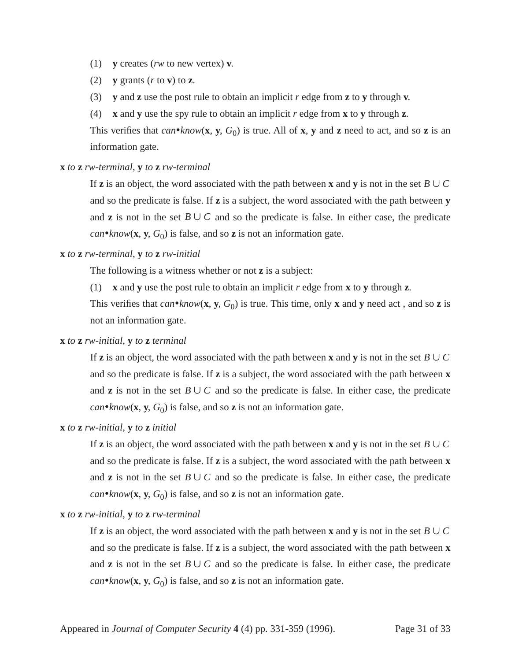- (1) **y** creates (*rw* to new vertex) **v**.
- (2) **y** grants (*r* to **v**) to **z**.
- (3) **y** and **z** use the post rule to obtain an implicit *r* edge from **z** to **y** through **v**.
- (4) **x** and **y** use the spy rule to obtain an implicit *r* edge from **x** to **y** through **z**.

This verifies that  $can \cdot \text{k}now(\mathbf{x}, \mathbf{y}, G_0)$  is true. All of **x**, **y** and **z** need to act, and so **z** is an information gate.

#### **x** *to* **z** *rw-terminal*, **y** *to* **z** *rw-terminal*

If **z** is an object, the word associated with the path between **x** and **y** is not in the set  $B \cup C$ and so the predicate is false. If **z** is a subject, the word associated with the path between **y** and **z** is not in the set  $B \cup C$  and so the predicate is false. In either case, the predicate  $can \cdot \textit{know}(x, y, G_0)$  is false, and so **z** is not an information gate.

# **x** *to* **z** *rw-terminal*, **y** *to* **z** *rw-initial*

The following is a witness whether or not **z** is a subject:

(1) **x** and **y** use the post rule to obtain an implicit *r* edge from **x** to **y** through **z**.

This verifies that  $can \cdot \text{k} \cdot \text{now}(\mathbf{x}, \mathbf{y}, G_0)$  is true. This time, only **x** and **y** need act, and so **z** is not an information gate.

## **x** *to* **z** *rw-initial*, **y** *to* **z** *terminal*

If **z** is an object, the word associated with the path between **x** and **y** is not in the set  $B \cup C$ and so the predicate is false. If **z** is a subject, the word associated with the path between **x** and **z** is not in the set  $B \cup C$  and so the predicate is false. In either case, the predicate  $can \cdot \textit{know}(x, y, G_0)$  is false, and so **z** is not an information gate.

#### **x** *to* **z** *rw-initial*, **y** *to* **z** *initial*

If **z** is an object, the word associated with the path between **x** and **y** is not in the set  $B \cup C$ and so the predicate is false. If **z** is a subject, the word associated with the path between **x** and **z** is not in the set  $B \cup C$  and so the predicate is false. In either case, the predicate  $can \cdot \textit{know}(x, y, G_0)$  is false, and so **z** is not an information gate.

#### **x** *to* **z** *rw-initial*, **y** *to* **z** *rw-terminal*

If **z** is an object, the word associated with the path between **x** and **y** is not in the set  $B \cup C$ and so the predicate is false. If **z** is a subject, the word associated with the path between **x** and **z** is not in the set  $B \cup C$  and so the predicate is false. In either case, the predicate  $can \cdot \textit{know}(\mathbf{x}, \mathbf{y}, G_0)$  is false, and so **z** is not an information gate.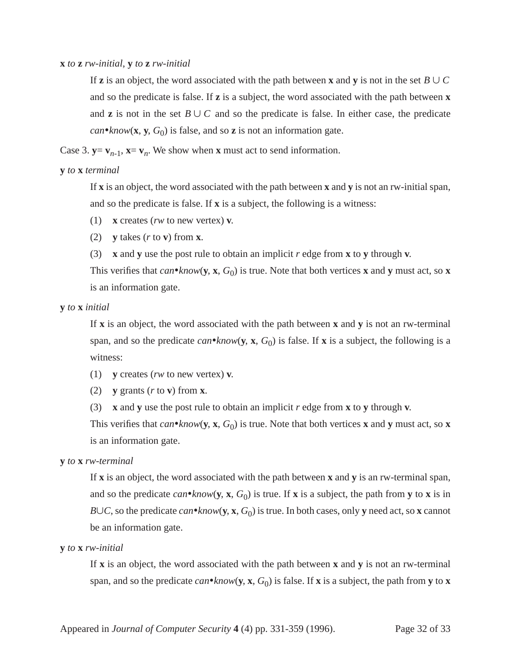#### **x** *to* **z** *rw-initial*, **y** *to* **z** *rw-initial*

If **z** is an object, the word associated with the path between **x** and **y** is not in the set  $B \cup C$ and so the predicate is false. If **z** is a subject, the word associated with the path between **x** and **z** is not in the set  $B \cup C$  and so the predicate is false. In either case, the predicate  $can \triangle know(\mathbf{x}, \mathbf{y}, G_0)$  is false, and so **z** is not an information gate.

Case 3.  $y = v_{n-1}$ ,  $x = v_n$ . We show when x must act to send information.

#### **y** *to* **x** *terminal*

If **x** is an object, the word associated with the path between **x** and **y** is not an rw-initial span, and so the predicate is false. If **x** is a subject, the following is a witness:

- (1) **x** creates (*rw* to new vertex) **v**.
- (2) **y** takes (*r* to **v**) from **x**.
- (3) **x** and **y** use the post rule to obtain an implicit *r* edge from **x** to **y** through **v**.

This verifies that  $can \cdot \textit{know}(y, x, G_0)$  is true. Note that both vertices **x** and **y** must act, so **x** is an information gate.

#### **y** *to* **x** *initial*

If **x** is an object, the word associated with the path between **x** and **y** is not an rw-terminal span, and so the predicate  $can \cdot \text{know}(\mathbf{y}, \mathbf{x}, G_0)$  is false. If **x** is a subject, the following is a witness:

- (1) **y** creates (*rw* to new vertex) **v**.
- (2) **y** grants (*r* to **v**) from **x**.
- (3) **x** and **y** use the post rule to obtain an implicit *r* edge from **x** to **y** through **v**.

This verifies that  $can \cdot \text{k}now(y, x, G_0)$  is true. Note that both vertices x and y must act, so x is an information gate.

#### **y** *to* **x** *rw-terminal*

If **x** is an object, the word associated with the path between **x** and **y** is an rw-terminal span, and so the predicate  $can \cdot \textit{know}(y, x, G_0)$  is true. If x is a subject, the path from y to x is in *B*∪*C*, so the predicate *can*•*know*(**y**, **x**, *G*<sub>0</sub>) is true. In both cases, only **y** need act, so **x** cannot be an information gate.

#### **y** *to* **x** *rw-initial*

If **x** is an object, the word associated with the path between **x** and **y** is not an rw-terminal span, and so the predicate  $can \cdot \cdot \cdot \cdot$ *know*(**y**, **x**,  $G_0$ ) is false. If **x** is a subject, the path from **y** to **x**